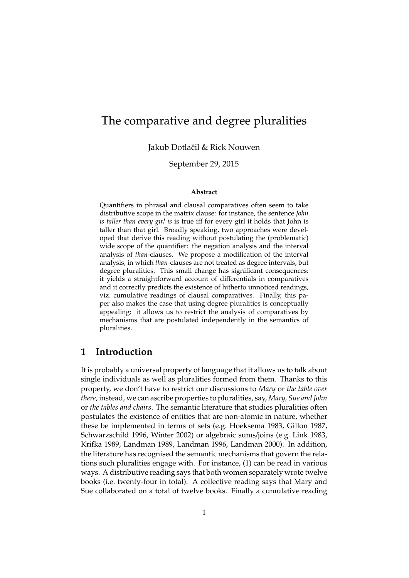# The comparative and degree pluralities

Jakub Dotlačil & Rick Nouwen

September 29, 2015

#### **Abstract**

Quantifiers in phrasal and clausal comparatives often seem to take distributive scope in the matrix clause: for instance, the sentence *John is taller than every girl is* is true iff for every girl it holds that John is taller than that girl. Broadly speaking, two approaches were developed that derive this reading without postulating the (problematic) wide scope of the quantifier: the negation analysis and the interval analysis of *than*-clauses. We propose a modification of the interval analysis, in which *than*-clauses are not treated as degree intervals, but degree pluralities. This small change has significant consequences: it yields a straightforward account of differentials in comparatives and it correctly predicts the existence of hitherto unnoticed readings, viz. cumulative readings of clausal comparatives. Finally, this paper also makes the case that using degree pluralities is conceptually appealing: it allows us to restrict the analysis of comparatives by mechanisms that are postulated independently in the semantics of pluralities.

# **1 Introduction**

It is probably a universal property of language that it allows us to talk about single individuals as well as pluralities formed from them. Thanks to this property, we don't have to restrict our discussions to *Mary* or *the table over there*, instead, we can ascribe properties to pluralities, say, *Mary, Sue and John* or *the tables and chairs*. The semantic literature that studies pluralities often postulates the existence of entities that are non-atomic in nature, whether these be implemented in terms of sets (e.g. Hoeksema 1983, Gillon 1987, Schwarzschild 1996, Winter 2002) or algebraic sums/joins (e.g. Link 1983, Krifka 1989, Landman 1989, Landman 1996, Landman 2000). In addition, the literature has recognised the semantic mechanisms that govern the relations such pluralities engage with. For instance, (1) can be read in various ways. A distributive reading says that both women separately wrote twelve books (i.e. twenty-four in total). A collective reading says that Mary and Sue collaborated on a total of twelve books. Finally a cumulative reading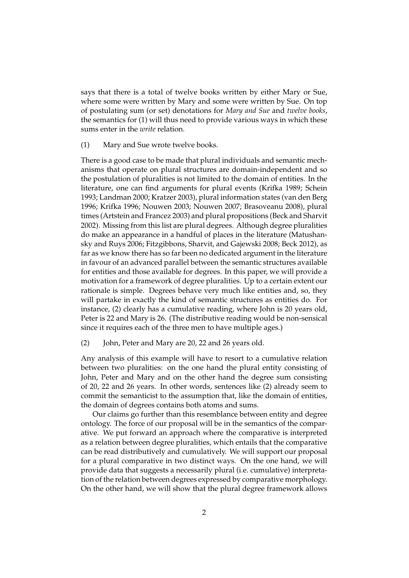says that there is a total of twelve books written by either Mary or Sue, where some were written by Mary and some were written by Sue. On top of postulating sum (or set) denotations for *Mary and Sue* and *twelve books*, the semantics for (1) will thus need to provide various ways in which these sums enter in the *write* relation.

(1) Mary and Sue wrote twelve books.

There is a good case to be made that plural individuals and semantic mechanisms that operate on plural structures are domain-independent and so the postulation of pluralities is not limited to the domain of entities. In the literature, one can find arguments for plural events (Krifka 1989; Schein 1993; Landman 2000; Kratzer 2003), plural information states (van den Berg 1996; Krifka 1996; Nouwen 2003; Nouwen 2007; Brasoveanu 2008), plural times (Artstein and Francez 2003) and plural propositions (Beck and Sharvit 2002). Missing from this list are plural degrees. Although degree pluralities do make an appearance in a handful of places in the literature (Matushansky and Ruys 2006; Fitzgibbons, Sharvit, and Gajewski 2008; Beck 2012), as far as we know there has so far been no dedicated argument in the literature in favour of an advanced parallel between the semantic structures available for entities and those available for degrees. In this paper, we will provide a motivation for a framework of degree pluralities. Up to a certain extent our rationale is simple. Degrees behave very much like entities and, so, they will partake in exactly the kind of semantic structures as entities do. For instance, (2) clearly has a cumulative reading, where John is 20 years old, Peter is 22 and Mary is 26. (The distributive reading would be non-sensical since it requires each of the three men to have multiple ages.)

(2) John, Peter and Mary are 20, 22 and 26 years old.

Any analysis of this example will have to resort to a cumulative relation between two pluralities: on the one hand the plural entity consisting of John, Peter and Mary and on the other hand the degree sum consisting of 20, 22 and 26 years. In other words, sentences like (2) already seem to commit the semanticist to the assumption that, like the domain of entities, the domain of degrees contains both atoms and sums.

Our claims go further than this resemblance between entity and degree ontology. The force of our proposal will be in the semantics of the comparative. We put forward an approach where the comparative is interpreted as a relation between degree pluralities, which entails that the comparative can be read distributively and cumulatively. We will support our proposal for a plural comparative in two distinct ways. On the one hand, we will provide data that suggests a necessarily plural (i.e. cumulative) interpretation of the relation between degrees expressed by comparative morphology. On the other hand, we will show that the plural degree framework allows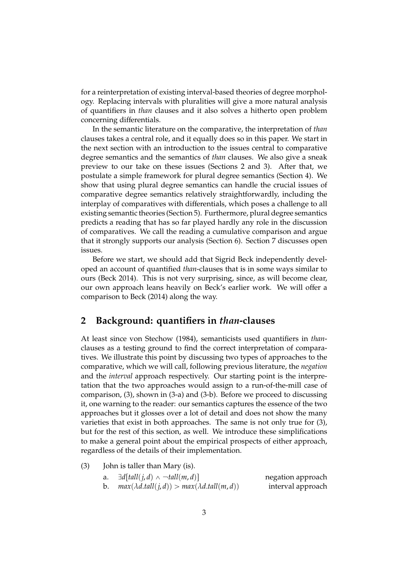for a reinterpretation of existing interval-based theories of degree morphology. Replacing intervals with pluralities will give a more natural analysis of quantifiers in *than* clauses and it also solves a hitherto open problem concerning differentials.

In the semantic literature on the comparative, the interpretation of *than* clauses takes a central role, and it equally does so in this paper. We start in the next section with an introduction to the issues central to comparative degree semantics and the semantics of *than* clauses. We also give a sneak preview to our take on these issues (Sections 2 and 3). After that, we postulate a simple framework for plural degree semantics (Section 4). We show that using plural degree semantics can handle the crucial issues of comparative degree semantics relatively straightforwardly, including the interplay of comparatives with differentials, which poses a challenge to all existing semantic theories (Section 5). Furthermore, plural degree semantics predicts a reading that has so far played hardly any role in the discussion of comparatives. We call the reading a cumulative comparison and argue that it strongly supports our analysis (Section 6). Section 7 discusses open issues.

Before we start, we should add that Sigrid Beck independently developed an account of quantified *than*-clauses that is in some ways similar to ours (Beck 2014). This is not very surprising, since, as will become clear, our own approach leans heavily on Beck's earlier work. We will offer a comparison to Beck (2014) along the way.

# **2 Background: quantifiers in** *than***-clauses**

At least since von Stechow (1984), semanticists used quantifiers in *than*clauses as a testing ground to find the correct interpretation of comparatives. We illustrate this point by discussing two types of approaches to the comparative, which we will call, following previous literature, the *negation* and the *interval* approach respectively. Our starting point is the interpretation that the two approaches would assign to a run-of-the-mill case of comparison, (3), shown in (3-a) and (3-b). Before we proceed to discussing it, one warning to the reader: our semantics captures the essence of the two approaches but it glosses over a lot of detail and does not show the many varieties that exist in both approaches. The same is not only true for (3), but for the rest of this section, as well. We introduce these simplifications to make a general point about the empirical prospects of either approach, regardless of the details of their implementation.

| (3) |  |  |  | John is taller than Mary (is). |  |  |
|-----|--|--|--|--------------------------------|--|--|
|-----|--|--|--|--------------------------------|--|--|

| а. | $\exists d[tall(j,d) \wedge \neg tall(m,d)]$            | negation approach |
|----|---------------------------------------------------------|-------------------|
|    | $max(\lambda d.tall(j, d)) > max(\lambda d.tall(m, d))$ | interval approach |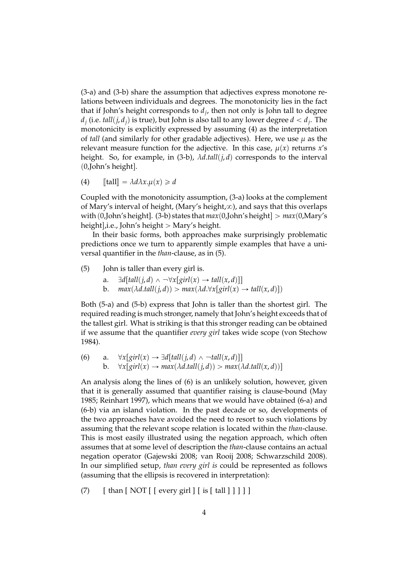(3-a) and (3-b) share the assumption that adjectives express monotone relations between individuals and degrees. The monotonicity lies in the fact that if John's height corresponds to *d<sup>j</sup>* , then not only is John tall to degree  $d_j$  (i.e.  $\textit{tall}(j, d_j)$  is true), but John is also tall to any lower degree  $d < d_j.$  The monotonicity is explicitly expressed by assuming (4) as the interpretation of *tall* (and similarly for other gradable adjectives). Here, we use  $\mu$  as the relevant measure function for the adjective. In this case,  $\mu(x)$  returns  $x's$ height. So, for example, in (3-b),  $\lambda d.tall(j,d)$  corresponds to the interval  $(0,$ John's height].

(4)  $\llbracket \text{tall} \rrbracket = \lambda d\lambda x. \mu(x) \geq d$ 

Coupled with the monotonicity assumption, (3-a) looks at the complement of Mary's interval of height, (Mary's height, $\infty$ ), and says that this overlaps with  $(0,John's height]$ . (3-b) states that  $max(0,John's height] > max(0,Mary's)$ height], i.e., John's height  $>$  Mary's height.

In their basic forms, both approaches make surprisingly problematic predictions once we turn to apparently simple examples that have a universal quantifier in the *than*-clause, as in (5).

(5) John is taller than every girl is.

- a.  $\exists d[fall(j, d) \land \neg \forall x[girl(x) \rightarrow tall(x, d)]]$
- b.  $max(\lambda d.tall(j, d)) > max(\lambda d. \forall x [girl(x) \rightarrow tall(x, d)])$

Both (5-a) and (5-b) express that John is taller than the shortest girl. The required reading is much stronger, namely that John's height exceeds that of the tallest girl. What is striking is that this stronger reading can be obtained if we assume that the quantifier *every girl* takes wide scope (von Stechow 1984).

(6) a. 
$$
\forall x[girl(x) \rightarrow \exists d[tall(j,d) \land \neg tall(x,d)]]
$$
  
b.  $\forall x[girl(x) \rightarrow max(\lambda d.tall(j,d)) > max(\lambda d.tall(x,d))]$ 

An analysis along the lines of (6) is an unlikely solution, however, given that it is generally assumed that quantifier raising is clause-bound (May 1985; Reinhart 1997), which means that we would have obtained (6-a) and (6-b) via an island violation. In the past decade or so, developments of the two approaches have avoided the need to resort to such violations by assuming that the relevant scope relation is located within the *than*-clause. This is most easily illustrated using the negation approach, which often assumes that at some level of description the *than*-clause contains an actual negation operator (Gajewski 2008; van Rooij 2008; Schwarzschild 2008). In our simplified setup, *than every girl is* could be represented as follows (assuming that the ellipsis is recovered in interpretation):

(7)  $\left[ \int \text{tan} \left[ \text{NOT} \right] \left[ \text{every girl} \right] \left[ \text{is} \left[ \text{tall} \right] \right] \right]$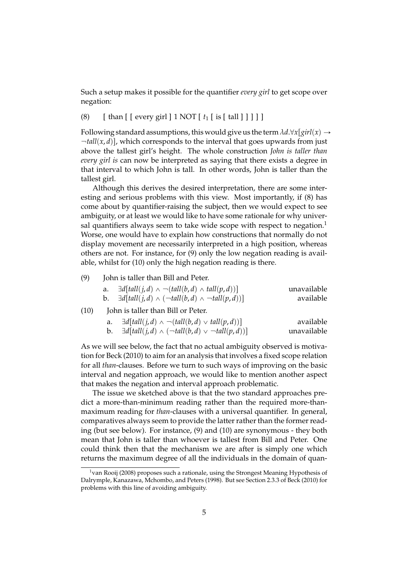Such a setup makes it possible for the quantifier *every girl* to get scope over negation:

### (8)  $\left[ \text{ than } \left[ \text{ [ every girl } ] 1 \text{ NOT } \left[ t_1 \right] \text{ is } \left[ \text{ tall } ] \right] \right] \right]$

Following standard assumptions, this would give us the term  $\lambda d.\forall x [girl(x) \rightarrow$  $\lnot \text{tall}(x, d)$ , which corresponds to the interval that goes upwards from just above the tallest girl's height. The whole construction *John is taller than every girl is* can now be interpreted as saying that there exists a degree in that interval to which John is tall. In other words, John is taller than the tallest girl.

Although this derives the desired interpretation, there are some interesting and serious problems with this view. Most importantly, if (8) has come about by quantifier-raising the subject, then we would expect to see ambiguity, or at least we would like to have some rationale for why universal quantifiers always seem to take wide scope with respect to negation.<sup>1</sup> Worse, one would have to explain how constructions that normally do not display movement are necessarily interpreted in a high position, whereas others are not. For instance, for (9) only the low negation reading is available, whilst for (10) only the high negation reading is there.

(9) John is taller than Bill and Peter.

| a. | $\exists d[tall(j,d) \wedge \neg(tall(b,d) \wedge tall(p,d))]$               | unavailable |
|----|------------------------------------------------------------------------------|-------------|
|    | <b>b.</b> $\exists d[tall(j,d) \land (\neg tall(b,d) \land \neg tall(p,d))]$ | available   |

#### (10) John is taller than Bill or Peter.

|    | $\exists d[tall(j,d) \wedge \neg(tall(b,d) \vee tall(p,d))]$       | available   |
|----|--------------------------------------------------------------------|-------------|
| b. | $\exists d[tall(j,d) \wedge (\neg tall(b,d) \vee \neg tall(p,d))]$ | unavailable |

As we will see below, the fact that no actual ambiguity observed is motivation for Beck (2010) to aim for an analysis that involves a fixed scope relation for all *than*-clauses. Before we turn to such ways of improving on the basic interval and negation approach, we would like to mention another aspect that makes the negation and interval approach problematic.

The issue we sketched above is that the two standard approaches predict a more-than-minimum reading rather than the required more-thanmaximum reading for *than*-clauses with a universal quantifier. In general, comparatives always seem to provide the latter rather than the former reading (but see below). For instance, (9) and (10) are synonymous - they both mean that John is taller than whoever is tallest from Bill and Peter. One could think then that the mechanism we are after is simply one which returns the maximum degree of all the individuals in the domain of quan-

 $1$ van Rooij (2008) proposes such a rationale, using the Strongest Meaning Hypothesis of Dalrymple, Kanazawa, Mchombo, and Peters (1998). But see Section 2.3.3 of Beck (2010) for problems with this line of avoiding ambiguity.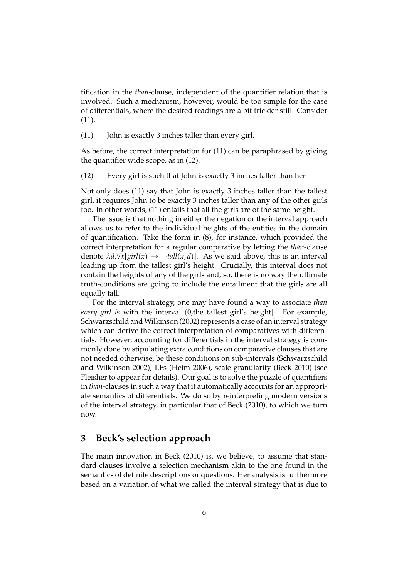tification in the *than*-clause, independent of the quantifier relation that is involved. Such a mechanism, however, would be too simple for the case of differentials, where the desired readings are a bit trickier still. Consider (11).

(11) John is exactly 3 inches taller than every girl.

As before, the correct interpretation for (11) can be paraphrased by giving the quantifier wide scope, as in (12).

(12) Every girl is such that John is exactly 3 inches taller than her.

Not only does (11) say that John is exactly 3 inches taller than the tallest girl, it requires John to be exactly 3 inches taller than any of the other girls too. In other words, (11) entails that all the girls are of the same height.

The issue is that nothing in either the negation or the interval approach allows us to refer to the individual heights of the entities in the domain of quantification. Take the form in (8), for instance, which provided the correct interpretation for a regular comparative by letting the *than*-clause denote  $\lambda d.\forall x[girl(x) \rightarrow \neg tall(x, d)]$ . As we said above, this is an interval leading up from the tallest girl's height. Crucially, this interval does not contain the heights of any of the girls and, so, there is no way the ultimate truth-conditions are going to include the entailment that the girls are all equally tall.

For the interval strategy, one may have found a way to associate *than every girl is* with the interval (0,the tallest girl's height). For example, Schwarzschild and Wilkinson (2002) represents a case of an interval strategy which can derive the correct interpretation of comparatives with differentials. However, accounting for differentials in the interval strategy is commonly done by stipulating extra conditions on comparative clauses that are not needed otherwise, be these conditions on sub-intervals (Schwarzschild and Wilkinson 2002), LFs (Heim 2006), scale granularity (Beck 2010) (see Fleisher to appear for details). Our goal is to solve the puzzle of quantifiers in *than*-clauses in such a way that it automatically accounts for an appropriate semantics of differentials. We do so by reinterpreting modern versions of the interval strategy, in particular that of Beck (2010), to which we turn now.

### **3 Beck's selection approach**

The main innovation in Beck (2010) is, we believe, to assume that standard clauses involve a selection mechanism akin to the one found in the semantics of definite descriptions or questions. Her analysis is furthermore based on a variation of what we called the interval strategy that is due to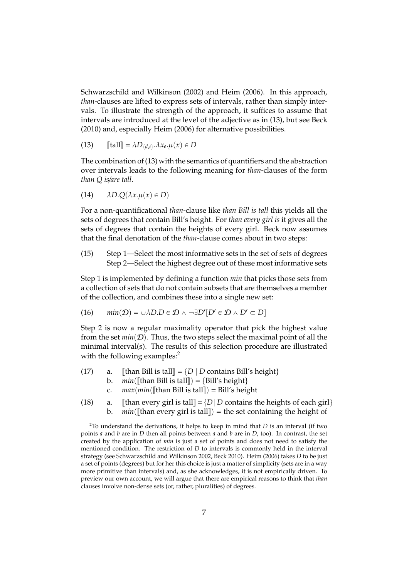Schwarzschild and Wilkinson (2002) and Heim (2006). In this approach, *than*-clauses are lifted to express sets of intervals, rather than simply intervals. To illustrate the strength of the approach, it suffices to assume that intervals are introduced at the level of the adjective as in (13), but see Beck (2010) and, especially Heim (2006) for alternative possibilities.

(13) 
$$
\llbracket \text{tall} \rrbracket = \lambda D_{\langle d,t \rangle}.\lambda x_e. \mu(x) \in D
$$

The combination of (13) with the semantics of quantifiers and the abstraction over intervals leads to the following meaning for *than*-clauses of the form *than Q is*/*are tall*.

$$
(14) \qquad \lambda D. Q(\lambda x. \mu(x) \in D)
$$

For a non-quantificational *than*-clause like *than Bill is tall* this yields all the sets of degrees that contain Bill's height. For *than every girl is* it gives all the sets of degrees that contain the heights of every girl. Beck now assumes that the final denotation of the *than*-clause comes about in two steps:

(15) Step 1—Select the most informative sets in the set of sets of degrees Step 2—Select the highest degree out of these most informative sets

Step 1 is implemented by defining a function *min* that picks those sets from a collection of sets that do not contain subsets that are themselves a member of the collection, and combines these into a single new set:

(16) 
$$
min(D) = \cup \lambda D \in D \land \neg \exists D'[D' \in D \land D' \subset D]
$$

Step 2 is now a regular maximality operator that pick the highest value from the set  $min(D)$ . Thus, the two steps select the maximal point of all the minimal interval(s). The results of this selection procedure are illustrated with the following examples:<sup>2</sup>

- (17) a. [[than Bill is tall] =  $\{D \mid D \text{ contains Bill's height}\}$ <br>b  $min(\text{If} \text{than Bill is tall}) = \{Bill's height\}$ 
	- b. *min*([than Bill is tall]) = {Bill's height}<br>c. *max(min*([than Bill is tall]) = Bill's height
		- c.  $max(min([\text{than Bill is tall}]) = \text{Bill's height})$ <br>a.  $[\text{than every girl is tall}] = {D \mid D}$  contains the
- (18) a. [than every girl is tall] =  $\{D \mid D$  contains the heights of each girl}<br>b.  $min(\text{Ithan every girl is tall}) = \text{the set containing the height of}$  $min([t)$  than every girl is tall = the set containing the height of

<sup>2</sup>To understand the derivations, it helps to keep in mind that *D* is an interval (if two points *a* and *b* are in *D* then all points between *a* and *b* are in *D*, too). In contrast, the set created by the application of *min* is just a set of points and does not need to satisfy the mentioned condition. The restriction of *D* to intervals is commonly held in the interval strategy (see Schwarzschild and Wilkinson 2002, Beck 2010). Heim (2006) takes *D* to be just a set of points (degrees) but for her this choice is just a matter of simplicity (sets are in a way more primitive than intervals) and, as she acknowledges, it is not empirically driven. To preview our own account, we will argue that there are empirical reasons to think that *than* clauses involve non-dense sets (or, rather, pluralities) of degrees.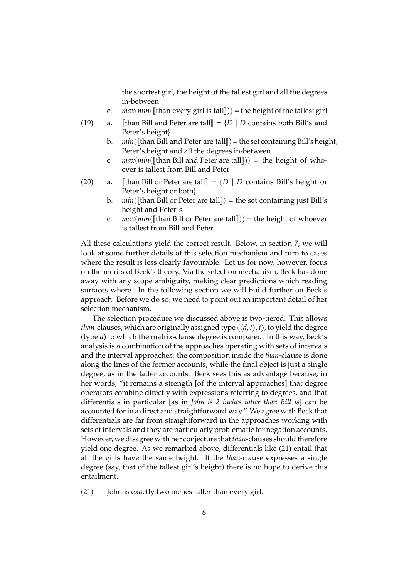the shortest girl, the height of the tallest girl and all the degrees in-between

- *c. max*(*min*([than every girl is tall])) = the height of the tallest girl  $a$ . [than Bill and Peter are tall] =  $\{D \mid D$  contains both Bill's and
- (19) a. [than Bill and Peter are tall] =  $\{D \mid D \text{ contains both Bill's and } \}$ Peter's height}
	- b. *min*( $\left[\left[\text{than Bill and Peter are tall}\right]\right) = \text{the set containing Bill's height, }$ Peter's height and all the degrees in-between
	- c.  $max(min([than Bill and Peter are tall])) = the height of who$ ever is tallest from Bill and Peter
- (20) a. [than Bill or Peter are tall] =  $\{D \mid D$  contains Bill's height or Peter's height or both}
	- b.  $min(\Vert \text{than Bill or Peter are tall} \Vert) = \text{the set containing just Bill's}$ height and Peter's
	- c. *max* $(min([than Bill or Peter are tall])) =$ the height of whoever is tallest from Bill and Peter

All these calculations yield the correct result. Below, in section 7, we will look at some further details of this selection mechanism and turn to cases where the result is less clearly favourable. Let us for now, however, focus on the merits of Beck's theory. Via the selection mechanism, Beck has done away with any scope ambiguity, making clear predictions which reading surfaces where. In the following section we will build further on Beck's approach. Before we do so, we need to point out an important detail of her selection mechanism.

The selection procedure we discussed above is two-tiered. This allows *than*-clauses, which are originally assigned type  $\langle \langle d, t \rangle, t \rangle$ , to yield the degree (type *d*) to which the matrix-clause degree is compared. In this way, Beck's analysis is a combination of the approaches operating with sets of intervals and the interval approaches: the composition inside the *than*-clause is done along the lines of the former accounts, while the final object is just a single degree, as in the latter accounts. Beck sees this as advantage because, in her words, "it remains a strength [of the interval approaches] that degree operators combine directly with expressions referring to degrees, and that differentials in particular [as in *John is 2 inches taller than Bill is*] can be accounted for in a direct and straightforward way." We agree with Beck that differentials are far from straightforward in the approaches working with sets of intervals and they are particularly problematic for negation accounts. However, we disagree with her conjecture that*than*-clauses should therefore yield one degree. As we remarked above, differentials like (21) entail that all the girls have the same height. If the *than*-clause expresses a single degree (say, that of the tallest girl's height) there is no hope to derive this entailment.

(21) John is exactly two inches taller than every girl.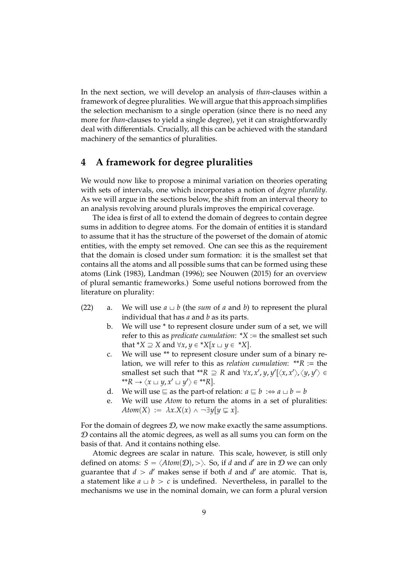In the next section, we will develop an analysis of *than*-clauses within a framework of degree pluralities. We will argue that this approach simplifies the selection mechanism to a single operation (since there is no need any more for *than*-clauses to yield a single degree), yet it can straightforwardly deal with differentials. Crucially, all this can be achieved with the standard machinery of the semantics of pluralities.

# **4 A framework for degree pluralities**

We would now like to propose a minimal variation on theories operating with sets of intervals, one which incorporates a notion of *degree plurality*. As we will argue in the sections below, the shift from an interval theory to an analysis revolving around plurals improves the empirical coverage.

The idea is first of all to extend the domain of degrees to contain degree sums in addition to degree atoms. For the domain of entities it is standard to assume that it has the structure of the powerset of the domain of atomic entities, with the empty set removed. One can see this as the requirement that the domain is closed under sum formation: it is the smallest set that contains all the atoms and all possible sums that can be formed using these atoms (Link (1983), Landman (1996); see Nouwen (2015) for an overview of plural semantic frameworks.) Some useful notions borrowed from the literature on plurality:

- (22) a. We will use  $a \sqcup b$  (the *sum* of *a* and *b*) to represent the plural individual that has *a* and *b* as its parts.
	- b. We will use \* to represent closure under sum of a set, we will refer to this as *predicate cumulation*: \**X* := the smallest set such that  $^*X \supseteq X$  and  $\forall x, y \in ^*X[x \cup y \in ^*X]$ .
	- c. We will use \*\* to represent closure under sum of a binary relation, we will refer to this as *relation cumulation*: \*\**R* := the smallest set such that \*\* $R \supseteq R$  and  $\forall x, x', y, y'[\langle x, x' \rangle, \langle y, y' \rangle \in$  $f^*R \to \langle x \sqcup y, x' \sqcup y' \rangle \in {}^{**}R$ .
	- d. We will use  $\subseteq$  as the part-of relation:  $a \sqsubseteq b : \Leftrightarrow a \sqcup b = b$
	- e. We will use *Atom* to return the atoms in a set of pluralities: *Atom*(*X*) :=  $\lambda x.X(x) \wedge \neg \exists y[y \sqsubseteq x]$ .

For the domain of degrees  $D$ , we now make exactly the same assumptions.  $D$  contains all the atomic degrees, as well as all sums you can form on the basis of that. And it contains nothing else.

Atomic degrees are scalar in nature. This scale, however, is still only defined on atoms:  $S = \langle Atom(\mathcal{D}), \rangle$ . So, if *d* and *d'* are in  $\mathcal D$  we can only guarantee that  $d > d'$  makes sense if both  $d$  and  $d'$  are atomic. That is, a statement like  $a \cup b > c$  is undefined. Nevertheless, in parallel to the mechanisms we use in the nominal domain, we can form a plural version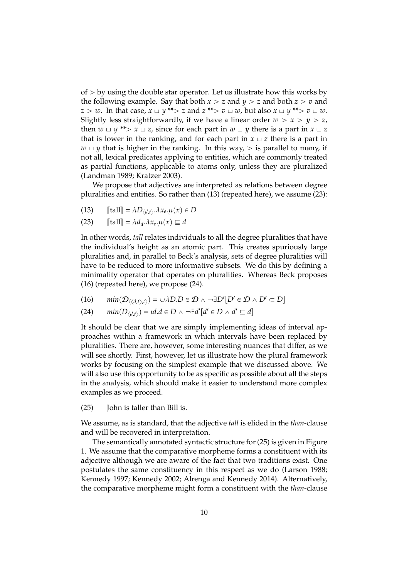of  $>$  by using the double star operator. Let us illustrate how this works by the following example. Say that both  $x > z$  and  $y > z$  and both  $z > v$  and  $z > w$ . In that case,  $x \sqcup y$  \*\* $> z$  and  $z$  \*\* $> v \sqcup w$ , but also  $x \sqcup y$  \*\* $> v \sqcup w$ . Slightly less straightforwardly, if we have a linear order  $w > x > y > z$ , then  $w \sqcup y$  \*\* $> x \sqcup z$ , since for each part in  $w \sqcup y$  there is a part in  $x \sqcup z$ that is lower in the ranking, and for each part in  $x \perp z$  there is a part in  $w \cup y$  that is higher in the ranking. In this way,  $>$  is parallel to many, if not all, lexical predicates applying to entities, which are commonly treated as partial functions, applicable to atoms only, unless they are pluralized (Landman 1989; Kratzer 2003).

We propose that adjectives are interpreted as relations between degree pluralities and entities. So rather than (13) (repeated here), we assume (23):

- (13)  $\text{[fall]} = \lambda D_{\langle d, t \rangle} \cdot \lambda x_e \cdot \mu(x) \in D$
- (23)  $[\text{tall}] = \lambda d_d \cdot \lambda x_e \cdot \mu(x) \equiv d$

In other words, *tall* relates individuals to all the degree pluralities that have the individual's height as an atomic part. This creates spuriously large pluralities and, in parallel to Beck's analysis, sets of degree pluralities will have to be reduced to more informative subsets. We do this by defining a minimality operator that operates on pluralities. Whereas Beck proposes (16) (repeated here), we propose (24).

(16)  $min(D_{\langle\langle d,t\rangle,t\rangle}) = \cup \lambda D \cdot D \in \mathcal{D} \land \neg \exists D'[D' \in \mathcal{D} \land D' \subset D]$ 

(24) 
$$
min(D_{\langle d,t\rangle}) = id.d \in D \land \neg \exists d'[d' \in D \land d' \sqsubseteq d]
$$

It should be clear that we are simply implementing ideas of interval approaches within a framework in which intervals have been replaced by pluralities. There are, however, some interesting nuances that differ, as we will see shortly. First, however, let us illustrate how the plural framework works by focusing on the simplest example that we discussed above. We will also use this opportunity to be as specific as possible about all the steps in the analysis, which should make it easier to understand more complex examples as we proceed.

(25) John is taller than Bill is.

We assume, as is standard, that the adjective *tall* is elided in the *than*-clause and will be recovered in interpretation.

The semantically annotated syntactic structure for (25) is given in Figure 1. We assume that the comparative morpheme forms a constituent with its adjective although we are aware of the fact that two traditions exist. One postulates the same constituency in this respect as we do (Larson 1988; Kennedy 1997; Kennedy 2002; Alrenga and Kennedy 2014). Alternatively, the comparative morpheme might form a constituent with the *than*-clause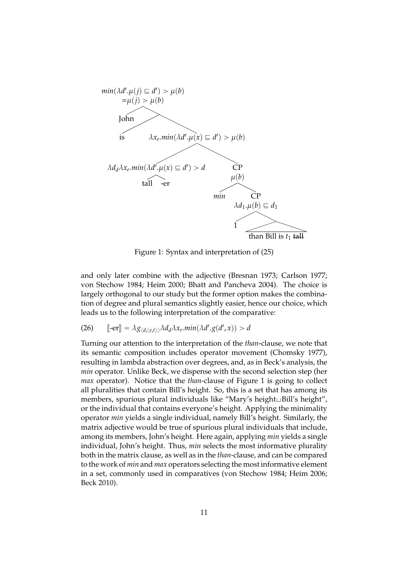

Figure 1: Syntax and interpretation of (25)

and only later combine with the adjective (Bresnan 1973; Carlson 1977; von Stechow 1984; Heim 2000; Bhatt and Pancheva 2004). The choice is largely orthogonal to our study but the former option makes the combination of degree and plural semantics slightly easier, hence our choice, which leads us to the following interpretation of the comparative:

(26)  $\left[ \text{-er} \right] = \lambda g_{\langle d, \langle e, t \rangle \rangle} \lambda d_d \lambda x_e \text{. } min(\lambda d'.g(d', x)) > d$ 

Turning our attention to the interpretation of the *than*-clause, we note that its semantic composition includes operator movement (Chomsky 1977), resulting in lambda abstraction over degrees, and, as in Beck's analysis, the *min* operator. Unlike Beck, we dispense with the second selection step (her *max* operator). Notice that the *than*-clause of Figure 1 is going to collect all pluralities that contain Bill's height. So, this is a set that has among its members, spurious plural individuals like "Mary's height∟Bill's height", or the individual that contains everyone's height. Applying the minimality operator *min* yields a single individual, namely Bill's height. Similarly, the matrix adjective would be true of spurious plural individuals that include, among its members, John's height. Here again, applying *min* yields a single individual, John's height. Thus, *min* selects the most informative plurality both in the matrix clause, as well as in the *than*-clause, and can be compared to the work of *min* and *max* operators selecting the most informative element in a set, commonly used in comparatives (von Stechow 1984; Heim 2006; Beck 2010).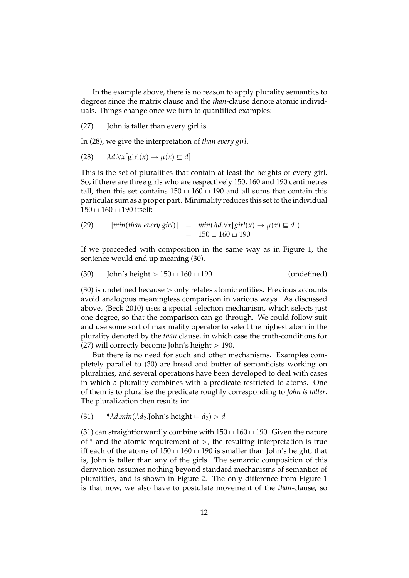In the example above, there is no reason to apply plurality semantics to degrees since the matrix clause and the *than*-clause denote atomic individuals. Things change once we turn to quantified examples:

(27) John is taller than every girl is.

In (28), we give the interpretation of *than every girl*.

(28) 
$$
\lambda d.\forall x[\text{girl}(x) \rightarrow \mu(x) \sqsubseteq d]
$$

This is the set of pluralities that contain at least the heights of every girl. So, if there are three girls who are respectively 150, 160 and 190 centimetres tall, then this set contains  $150 \sqcup 160 \sqcup 190$  and all sums that contain this particular sum as a proper part. Minimality reduces this set to the individual  $150 \sqcup 160 \sqcup 190$  itself:

(29) 
$$
[\text{min}(\text{than every girl})] = \text{min}(\lambda d.\forall x[\text{ girl}(x) \rightarrow \mu(x) \equiv d])
$$

$$
= 150 \sqcup 160 \sqcup 190
$$

If we proceeded with composition in the same way as in Figure 1, the sentence would end up meaning (30).

$$
(30) \t John's height > 150 \cup 160 \cup 190 \t (undefined)
$$

 $(30)$  is undefined because  $>$  only relates atomic entities. Previous accounts avoid analogous meaningless comparison in various ways. As discussed above, (Beck 2010) uses a special selection mechanism, which selects just one degree, so that the comparison can go through. We could follow suit and use some sort of maximality operator to select the highest atom in the plurality denoted by the *than* clause, in which case the truth-conditions for (27) will correctly become John's height  $> 190$ .

But there is no need for such and other mechanisms. Examples completely parallel to (30) are bread and butter of semanticists working on pluralities, and several operations have been developed to deal with cases in which a plurality combines with a predicate restricted to atoms. One of them is to pluralise the predicate roughly corresponding to *John is taller*. The pluralization then results in:

(31)  $* \lambda d.min(\lambda d_2$ . John's height  $\subseteq d_2$ ) > *d* 

(31) can straightforwardly combine with  $150 \sqcup 160 \sqcup 190$ . Given the nature of  $*$  and the atomic requirement of  $>$ , the resulting interpretation is true iff each of the atoms of  $150 \cup 160 \cup 190$  is smaller than John's height, that is, John is taller than any of the girls. The semantic composition of this derivation assumes nothing beyond standard mechanisms of semantics of pluralities, and is shown in Figure 2. The only difference from Figure 1 is that now, we also have to postulate movement of the *than*-clause, so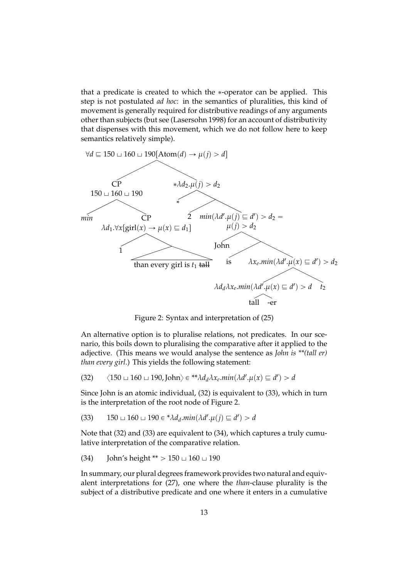that a predicate is created to which the \*-operator can be applied. This step is not postulated *ad hoc*: in the semantics of pluralities, this kind of movement is generally required for distributive readings of any arguments other than subjects (but see (Lasersohn 1998) for an account of distributivity that dispenses with this movement, which we do not follow here to keep semantics relatively simple).



Figure 2: Syntax and interpretation of (25)

An alternative option is to pluralise relations, not predicates. In our scenario, this boils down to pluralising the comparative after it applied to the adjective. (This means we would analyse the sentence as *John is \*\*(tall er) than every girl*.) This yields the following statement:

$$
(32) \qquad \langle 150 \sqcup 160 \sqcup 190, \text{John} \rangle \in {}^{**} \lambda d_d \lambda x_e \min(\lambda d'.\mu(x) \sqsubseteq d') > d
$$

Since John is an atomic individual, (32) is equivalent to (33), which in turn is the interpretation of the root node of Figure 2.

(33) 
$$
150 \sqcup 160 \sqcup 190 \in {}^{\ast} \lambda d_d.min(\lambda d'.\mu(j) \sqsubseteq d') > d
$$

Note that (32) and (33) are equivalent to (34), which captures a truly cumulative interpretation of the comparative relation.

(34) John's height \*\* 
$$
> 150 \sqcup 160 \sqcup 190
$$

In summary, our plural degrees framework provides two natural and equivalent interpretations for (27), one where the *than*-clause plurality is the subject of a distributive predicate and one where it enters in a cumulative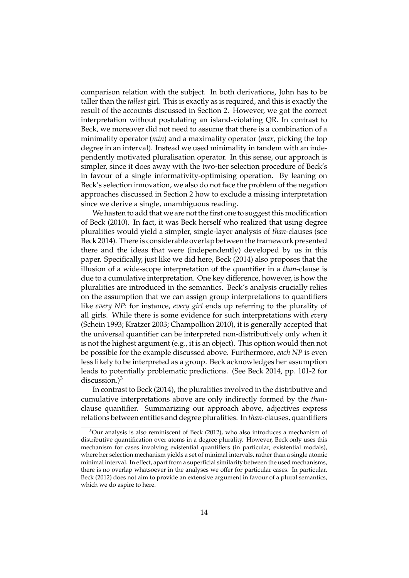comparison relation with the subject. In both derivations, John has to be taller than the *tallest* girl. This is exactly as is required, and this is exactly the result of the accounts discussed in Section 2. However, we got the correct interpretation without postulating an island-violating QR. In contrast to Beck, we moreover did not need to assume that there is a combination of a minimality operator (*min*) and a maximality operator (*max*, picking the top degree in an interval). Instead we used minimality in tandem with an independently motivated pluralisation operator. In this sense, our approach is simpler, since it does away with the two-tier selection procedure of Beck's in favour of a single informativity-optimising operation. By leaning on Beck's selection innovation, we also do not face the problem of the negation approaches discussed in Section 2 how to exclude a missing interpretation since we derive a single, unambiguous reading.

We hasten to add that we are not the first one to suggest this modification of Beck (2010). In fact, it was Beck herself who realized that using degree pluralities would yield a simpler, single-layer analysis of *than*-clauses (see Beck 2014). There is considerable overlap between the framework presented there and the ideas that were (independently) developed by us in this paper. Specifically, just like we did here, Beck (2014) also proposes that the illusion of a wide-scope interpretation of the quantifier in a *than*-clause is due to a cumulative interpretation. One key difference, however, is how the pluralities are introduced in the semantics. Beck's analysis crucially relies on the assumption that we can assign group interpretations to quantifiers like *every NP*: for instance, *every girl* ends up referring to the plurality of all girls. While there is some evidence for such interpretations with *every* (Schein 1993; Kratzer 2003; Champollion 2010), it is generally accepted that the universal quantifier can be interpreted non-distributively only when it is not the highest argument (e.g., it is an object). This option would then not be possible for the example discussed above. Furthermore, *each NP* is even less likely to be interpreted as a group. Beck acknowledges her assumption leads to potentially problematic predictions. (See Beck 2014, pp. 101-2 for discussion.) $3$ 

In contrast to Beck (2014), the pluralities involved in the distributive and cumulative interpretations above are only indirectly formed by the *than*clause quantifier. Summarizing our approach above, adjectives express relations between entities and degree pluralities. In *than*-clauses, quantifiers

<sup>3</sup>Our analysis is also reminiscent of Beck (2012), who also introduces a mechanism of distributive quantification over atoms in a degree plurality. However, Beck only uses this mechanism for cases involving existential quantifiers (in particular, existential modals), where her selection mechanism yields a set of minimal intervals, rather than a single atomic minimal interval. In effect, apart from a superficial similarity between the used mechanisms, there is no overlap whatsoever in the analyses we offer for particular cases. In particular, Beck (2012) does not aim to provide an extensive argument in favour of a plural semantics, which we do aspire to here.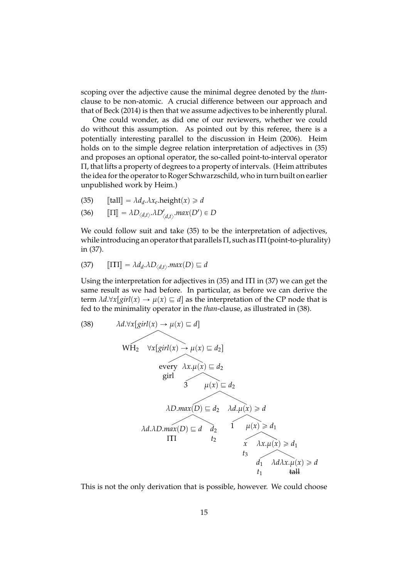scoping over the adjective cause the minimal degree denoted by the *than*clause to be non-atomic. A crucial difference between our approach and that of Beck (2014) is then that we assume adjectives to be inherently plural.

One could wonder, as did one of our reviewers, whether we could do without this assumption. As pointed out by this referee, there is a potentially interesting parallel to the discussion in Heim (2006). Heim holds on to the simple degree relation interpretation of adjectives in (35) and proposes an optional operator, the so-called point-to-interval operator Π, that lifts a property of degrees to a property of intervals. (Heim attributes the idea for the operator to Roger Schwarzschild, who in turn built on earlier unpublished work by Heim.)

$$
(35) \qquad \text{[tall]} = \lambda d_d \lambda x_e \text{.height}(x) \geq d
$$

(36) 
$$
\llbracket \Pi \rrbracket = \lambda D_{\langle d,t \rangle} \cdot \lambda D'_{\langle d,t \rangle} \cdot max(D') \in D
$$

We could follow suit and take (35) to be the interpretation of adjectives, while introducing an operator that parallels  $\Pi$ , such as  $\Pi$  (point-to-plurality) in (37).

$$
(37) \qquad \llbracket \Pi \Pi \rrbracket = \lambda d_d \cdot \lambda D_{\langle d, t \rangle} \cdot \max(D) \sqsubseteq d
$$

Using the interpretation for adjectives in  $(35)$  and  $\Pi$  in  $(37)$  we can get the same result as we had before. In particular, as before we can derive the term  $\lambda d.\forall x[girl(x) \rightarrow \mu(x) \sqsubseteq d]$  as the interpretation of the CP node that is fed to the minimality operator in the *than*-clause, as illustrated in (38).

(38) 
$$
\lambda d.\forall x [girl(x) \rightarrow \mu(x) \equiv d]
$$
  
\n $\text{WH}_2 \quad \forall x [girl(x) \rightarrow \mu(x) \equiv d_2]$   
\nevery  $\lambda x.\mu(x) \equiv d_2$   
\ngirl  
\n $\lambda D.max(D) \equiv d_2 \quad \lambda d.\mu(x) \ge d$   
\n $\lambda d.\lambda D.max(D) \equiv d \quad d_2$   
\n $\Pi$   
\n $t_2$   
\n $\lambda x.\mu(x) \ge d_1$   
\n $t_3$   
\n $d_1 \quad \lambda d\lambda x.\mu(x) \ge d_1$   
\n $t_1$   
\ntaH

This is not the only derivation that is possible, however. We could choose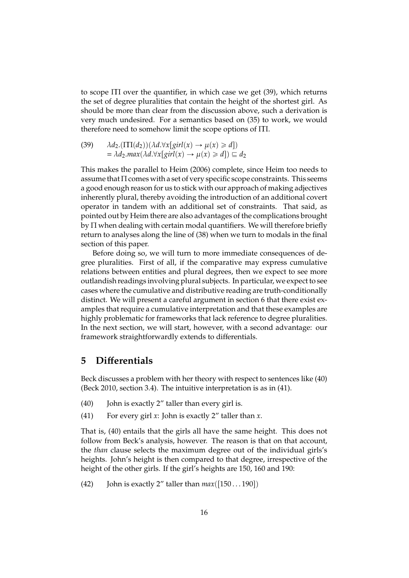to scope  $\Pi$  over the quantifier, in which case we get (39), which returns the set of degree pluralities that contain the height of the shortest girl. As should be more than clear from the discussion above, such a derivation is very much undesired. For a semantics based on (35) to work, we would therefore need to somehow limit the scope options of ΠΠ.

(39) 
$$
\begin{aligned} \lambda d_2.(\Pi(d_2))(\lambda d. \forall x[girl(x) \to \mu(x) \ge d]) \\ &= \lambda d_2.max(\lambda d. \forall x[girl(x) \to \mu(x) \ge d]) \sqsubseteq d_2 \end{aligned}
$$

This makes the parallel to Heim (2006) complete, since Heim too needs to assume that  $\Pi$  comes with a set of very specific scope constraints. This seems a good enough reason for us to stick with our approach of making adjectives inherently plural, thereby avoiding the introduction of an additional covert operator in tandem with an additional set of constraints. That said, as pointed out by Heim there are also advantages of the complications brought by Π when dealing with certain modal quantifiers. We will therefore briefly return to analyses along the line of (38) when we turn to modals in the final section of this paper.

Before doing so, we will turn to more immediate consequences of degree pluralities. First of all, if the comparative may express cumulative relations between entities and plural degrees, then we expect to see more outlandish readings involving plural subjects. In particular, we expect to see cases where the cumulative and distributive reading are truth-conditionally distinct. We will present a careful argument in section 6 that there exist examples that require a cumulative interpretation and that these examples are highly problematic for frameworks that lack reference to degree pluralities. In the next section, we will start, however, with a second advantage: our framework straightforwardly extends to differentials.

# **5 Di**ff**erentials**

Beck discusses a problem with her theory with respect to sentences like (40) (Beck 2010, section 3.4). The intuitive interpretation is as in (41).

- (40) John is exactly  $2''$  taller than every girl is.
- (41) For every girl *x*: John is exactly 2" taller than *x*.

That is, (40) entails that the girls all have the same height. This does not follow from Beck's analysis, however. The reason is that on that account, the *than* clause selects the maximum degree out of the individual girls's heights. John's height is then compared to that degree, irrespective of the height of the other girls. If the girl's heights are 150, 160 and 190:

(42) John is exactly 2" taller than  $max([150...190])$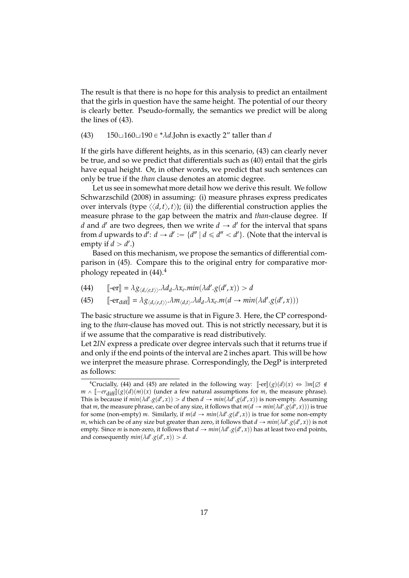The result is that there is no hope for this analysis to predict an entailment that the girls in question have the same height. The potential of our theory is clearly better. Pseudo-formally, the semantics we predict will be along the lines of (43).

(43)  $150\text{ }\square 160\text{ }\square 190 \in {}^* \lambda d$ .John is exactly 2" taller than *d* 

If the girls have different heights, as in this scenario, (43) can clearly never be true, and so we predict that differentials such as (40) entail that the girls have equal height. Or, in other words, we predict that such sentences can only be true if the *than* clause denotes an atomic degree.

Let us see in somewhat more detail how we derive this result. We follow Schwarzschild (2008) in assuming: (i) measure phrases express predicates over intervals (type  $\langle \langle d, t \rangle, t \rangle$ ); (ii) the differential construction applies the measure phrase to the gap between the matrix and *than*-clause degree. If *d* and *d'* are two degrees, then we write  $d \rightarrow d'$  for the interval that spans from *d* upwards to  $d'$ :  $d \rightarrow d' := \{d'' \mid d \le d'' < d'\}$ . (Note that the interval is empty if  $d > d'$ .)

Based on this mechanism, we propose the semantics of differential comparison in (45). Compare this to the original entry for comparative morphology repeated in  $(44).<sup>4</sup>$ 

- (44)  $\left[\text{--} \text{er}\right] = \lambda g_{\langle d, \langle e, t \rangle \rangle} \cdot \lambda d_d \cdot \lambda x_e \cdot \min(\lambda d' \cdot g(d', x)) > d$
- (45)  $\left[ -er_{diff} \right] = \lambda g_{\langle d, \langle e, t \rangle \rangle} \cdot \lambda m_{\langle d, t \rangle} \cdot \lambda d_d \cdot \lambda x_e \cdot m(d \rightarrow min(\lambda d' \cdot g(d', x)))$

The basic structure we assume is that in Figure 3. Here, the CP corresponding to the *than*-clause has moved out. This is not strictly necessary, but it is if we assume that the comparative is read distributively.

Let 2*IN* express a predicate over degree intervals such that it returns true if and only if the end points of the interval are 2 inches apart. This will be how we interpret the measure phrase. Correspondingly, the DegP is interpreted as follows:

<sup>&</sup>lt;sup>4</sup>Crucially, (44) and (45) are related in the following way:  $\lbrack \lbrack -er \rbrack \rbrack(g)(d)(x) \Leftrightarrow \exists m[\varnothing \notin$  $m \wedge [[-er_{diff}](g)(d)(m)(x)]$  (under a few natural assumptions for *m*, the measure phrase).<br>This is because if  $min(A/d, \alpha(d', x)) \searrow d$  then  $d \rightarrow min(A/d, \alpha(d', x))$  is non-empty. Assuming This is because if  $min(\lambda d' \cdot g(d', x)) > d$  then  $d \rightarrow min(\lambda d' \cdot g(d', x))$  is non-empty. Assuming that *m*, the measure phrase, can be of any size, it follows that  $m(d \rightarrow min(\lambda d'.g(d', x)))$  is true for some (non-empty) *m*. Similarly, if  $m(d \rightarrow min(\lambda d'.g(d',x))$  is true for some non-empty *m*, which can be of any size but greater than zero, it follows that  $d \rightarrow min(\lambda d'.g(d',x))$  is not empty. Since *m* is non-zero, it follows that  $d \rightarrow min(\lambda d'.g(d',x))$  has at least two end points, and consequently  $min(\lambda d'.g(d',x)) > d$ .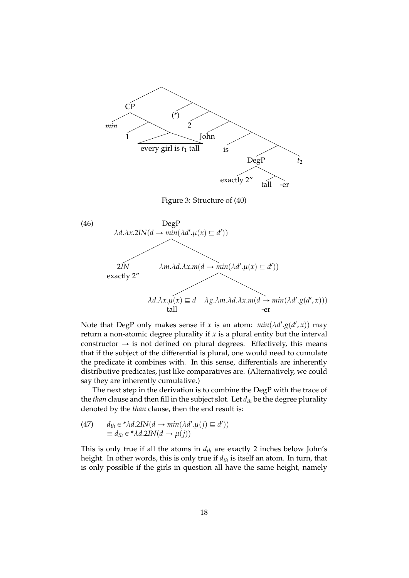

Note that DegP only makes sense if *x* is an atom:  $min(\lambda d'.g(d', x))$  may return a non-atomic degree plurality if  $x$  is a plural entity but the interval constructor  $\rightarrow$  is not defined on plural degrees. Effectively, this means that if the subject of the differential is plural, one would need to cumulate the predicate it combines with. In this sense, differentials are inherently distributive predicates, just like comparatives are. (Alternatively, we could say they are inherently cumulative.)

The next step in the derivation is to combine the DegP with the trace of the *than* clause and then fill in the subject slot. Let *dth* be the degree plurality denoted by the *than* clause, then the end result is:

(47) 
$$
d_{th} \in {}^* \lambda d.2IN(d \rightarrow min(\lambda d'.\mu(j) \sqsubseteq d'))
$$

$$
\equiv d_{th} \in {}^* \lambda d.2IN(d \rightarrow \mu(j))
$$

This is only true if all the atoms in *dth* are exactly 2 inches below John's height. In other words, this is only true if *dth* is itself an atom. In turn, that is only possible if the girls in question all have the same height, namely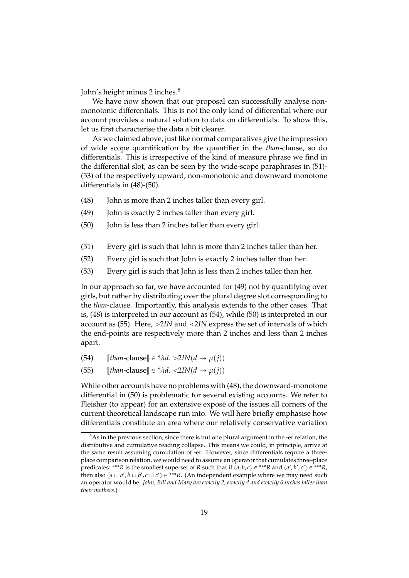John's height minus 2 inches.<sup>5</sup>

We have now shown that our proposal can successfully analyse nonmonotonic differentials. This is not the only kind of differential where our account provides a natural solution to data on differentials. To show this, let us first characterise the data a bit clearer.

As we claimed above, just like normal comparatives give the impression of wide scope quantification by the quantifier in the *than*-clause, so do differentials. This is irrespective of the kind of measure phrase we find in the differential slot, as can be seen by the wide-scope paraphrases in (51)- (53) of the respectively upward, non-monotonic and downward monotone differentials in (48)-(50).

- $(48)$  John is more than 2 inches taller than every girl.
- (49) John is exactly 2 inches taller than every girl.
- (50) John is less than 2 inches taller than every girl.
- (51) Every girl is such that John is more than 2 inches taller than her.
- (52) Every girl is such that John is exactly 2 inches taller than her.
- (53) Every girl is such that John is less than 2 inches taller than her.

In our approach so far, we have accounted for (49) not by quantifying over girls, but rather by distributing over the plural degree slot corresponding to the *than*-clause. Importantly, this analysis extends to the other cases. That is, (48) is interpreted in our account as (54), while (50) is interpreted in our account as (55). Here,  $>21N$  and  $<21N$  express the set of intervals of which the end-points are respectively more than 2 inches and less than 2 inches apart.

- (54)  $[than\text{-}\text{clause}] \in \mathcal{A} \land \text{L} > 2IN(d \rightarrow \mu(j))$ <br>(55)  $[than\text{-}\text{clause}] \in \mathcal{A} \land \text{L} < 2IN(d \rightarrow \mu(j))$
- $[then$ -clause $]\in$  *\** $\lambda d$ .  $\langle 2IN(d \rightarrow \mu(j))$

While other accounts have no problems with (48), the downward-monotone differential in (50) is problematic for several existing accounts. We refer to Fleisher (to appear) for an extensive exposé of the issues all corners of the current theoretical landscape run into. We will here briefly emphasise how differentials constitute an area where our relatively conservative variation

<sup>&</sup>lt;sup>5</sup>As in the previous section, since there is but one plural argument in the -er relation, the distributive and cumulative reading collapse. This means we could, in principle, arrive at the same result assuming cumulation of -er. However, since differentials require a threeplace comparison relation, we would need to assume an operator that cumulates three-place predicates: \*\*\**R* is the smallest superset of *R* such that if  $\langle a,b,c\rangle \in$  \*\*\**R* and  $\langle a',b',c'\rangle \in$  \*\*\**R*, then also  $\langle a \sqcup a', b \sqcup b', c \sqcup c' \rangle \in ***R$ . (An independent example where we may need such an operator would be: *John, Bill and Mary are exactly 2, exactly 4 and exactly 6 inches taller than their mothers*.)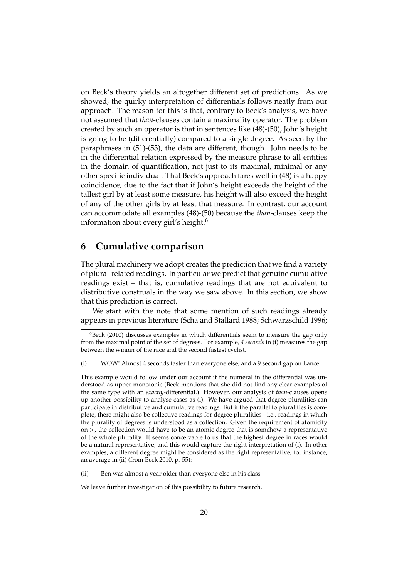on Beck's theory yields an altogether different set of predictions. As we showed, the quirky interpretation of differentials follows neatly from our approach. The reason for this is that, contrary to Beck's analysis, we have not assumed that *than*-clauses contain a maximality operator. The problem created by such an operator is that in sentences like (48)-(50), John's height is going to be (differentially) compared to a single degree. As seen by the paraphrases in (51)-(53), the data are different, though. John needs to be in the differential relation expressed by the measure phrase to all entities in the domain of quantification, not just to its maximal, minimal or any other specific individual. That Beck's approach fares well in (48) is a happy coincidence, due to the fact that if John's height exceeds the height of the tallest girl by at least some measure, his height will also exceed the height of any of the other girls by at least that measure. In contrast, our account can accommodate all examples (48)-(50) because the *than*-clauses keep the information about every girl's height.<sup>6</sup>

### **6 Cumulative comparison**

The plural machinery we adopt creates the prediction that we find a variety of plural-related readings. In particular we predict that genuine cumulative readings exist – that is, cumulative readings that are not equivalent to distributive construals in the way we saw above. In this section, we show that this prediction is correct.

We start with the note that some mention of such readings already appears in previous literature (Scha and Stallard 1988; Schwarzschild 1996;

This example would follow under our account if the numeral in the differential was understood as upper-monotonic (Beck mentions that she did not find any clear examples of the same type with an *exactly*-differential.) However, our analysis of *than*-clauses opens up another possibility to analyse cases as (i). We have argued that degree pluralities can participate in distributive and cumulative readings. But if the parallel to pluralities is complete, there might also be collective readings for degree pluralities - i.e., readings in which the plurality of degrees is understood as a collection. Given the requirement of atomicity on  $\ge$ , the collection would have to be an atomic degree that is somehow a representative of the whole plurality. It seems conceivable to us that the highest degree in races would be a natural representative, and this would capture the right interpretation of (i). In other examples, a different degree might be considered as the right representative, for instance, an average in (ii) (from Beck 2010, p. 55):

(ii) Ben was almost a year older than everyone else in his class

We leave further investigation of this possibility to future research.

 $6B$ eck (2010) discusses examples in which differentials seem to measure the gap only from the maximal point of the set of degrees. For example, *4 seconds* in (i) measures the gap between the winner of the race and the second fastest cyclist.

<sup>(</sup>i) WOW! Almost 4 seconds faster than everyone else, and a 9 second gap on Lance.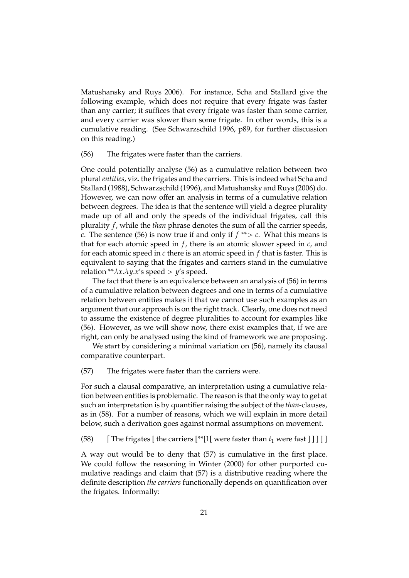Matushansky and Ruys 2006). For instance, Scha and Stallard give the following example, which does not require that every frigate was faster than any carrier; it suffices that every frigate was faster than some carrier, and every carrier was slower than some frigate. In other words, this is a cumulative reading. (See Schwarzschild 1996, p89, for further discussion on this reading.)

(56) The frigates were faster than the carriers.

One could potentially analyse (56) as a cumulative relation between two plural*entities*, viz. the frigates and the carriers. This is indeed what Scha and Stallard (1988), Schwarzschild (1996), and Matushansky and Ruys (2006) do. However, we can now offer an analysis in terms of a cumulative relation between degrees. The idea is that the sentence will yield a degree plurality made up of all and only the speeds of the individual frigates, call this plurality *f*, while the *than* phrase denotes the sum of all the carrier speeds, *c*. The sentence (56) is now true if and only if  $f^{**} > c$ . What this means is that for each atomic speed in *f*, there is an atomic slower speed in *c*, and for each atomic speed in *c* there is an atomic speed in *f* that is faster. This is equivalent to saying that the frigates and carriers stand in the cumulative relation \*\* $\lambda x.\lambda y.x'$ s speed > *y*'s speed.

The fact that there is an equivalence between an analysis of (56) in terms of a cumulative relation between degrees and one in terms of a cumulative relation between entities makes it that we cannot use such examples as an argument that our approach is on the right track. Clearly, one does not need to assume the existence of degree pluralities to account for examples like (56). However, as we will show now, there exist examples that, if we are right, can only be analysed using the kind of framework we are proposing.

We start by considering a minimal variation on (56), namely its clausal comparative counterpart.

(57) The frigates were faster than the carriers were.

For such a clausal comparative, an interpretation using a cumulative relation between entities is problematic. The reason is that the only way to get at such an interpretation is by quantifier raising the subject of the *than*-clauses, as in (58). For a number of reasons, which we will explain in more detail below, such a derivation goes against normal assumptions on movement.

(58) Fhe frigates [ the carriers  $[**[1]$  were faster than  $t_1$  were fast  $\text{]}$  ] ] ] ]

A way out would be to deny that (57) is cumulative in the first place. We could follow the reasoning in Winter (2000) for other purported cumulative readings and claim that (57) is a distributive reading where the definite description *the carriers* functionally depends on quantification over the frigates. Informally: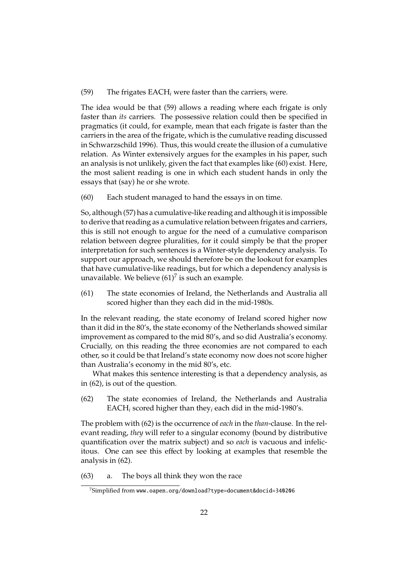#### (59) The frigates EACH*<sup>i</sup>* were faster than the carriers*<sup>i</sup>* were.

The idea would be that (59) allows a reading where each frigate is only faster than *its* carriers. The possessive relation could then be specified in pragmatics (it could, for example, mean that each frigate is faster than the carriers in the area of the frigate, which is the cumulative reading discussed in Schwarzschild 1996). Thus, this would create the illusion of a cumulative relation. As Winter extensively argues for the examples in his paper, such an analysis is not unlikely, given the fact that examples like (60) exist. Here, the most salient reading is one in which each student hands in only the essays that (say) he or she wrote.

(60) Each student managed to hand the essays in on time.

So, although (57) has a cumulative-like reading and although it is impossible to derive that reading as a cumulative relation between frigates and carriers, this is still not enough to argue for the need of a cumulative comparison relation between degree pluralities, for it could simply be that the proper interpretation for such sentences is a Winter-style dependency analysis. To support our approach, we should therefore be on the lookout for examples that have cumulative-like readings, but for which a dependency analysis is unavailable. We believe  $(61)^7$  is such an example.

(61) The state economies of Ireland, the Netherlands and Australia all scored higher than they each did in the mid-1980s.

In the relevant reading, the state economy of Ireland scored higher now than it did in the 80's, the state economy of the Netherlands showed similar improvement as compared to the mid 80's, and so did Australia's economy. Crucially, on this reading the three economies are not compared to each other, so it could be that Ireland's state economy now does not score higher than Australia's economy in the mid 80's, etc.

What makes this sentence interesting is that a dependency analysis, as in (62), is out of the question.

(62) The state economies of Ireland, the Netherlands and Australia EACH*<sup>i</sup>* scored higher than they*<sup>i</sup>* each did in the mid-1980's.

The problem with (62) is the occurrence of *each* in the *than*-clause. In the relevant reading, *they* will refer to a singular economy (bound by distributive quantification over the matrix subject) and so *each* is vacuous and infelicitous. One can see this effect by looking at examples that resemble the analysis in (62).

(63) a. The boys all think they won the race

 $7$ Simplified from www.oapen.org/download?type=document&docid=340206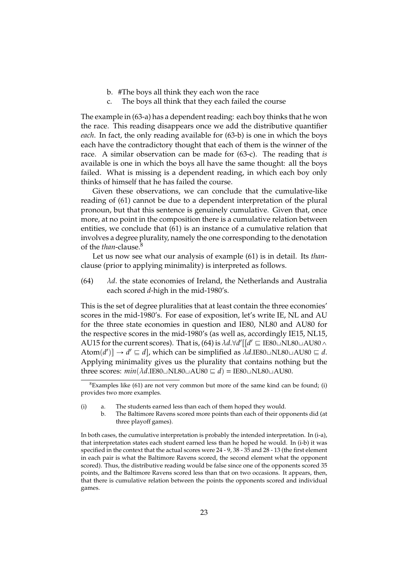- b. #The boys all think they each won the race
- c. The boys all think that they each failed the course

The example in (63-a) has a dependent reading: each boy thinks that he won the race. This reading disappears once we add the distributive quantifier *each*. In fact, the only reading available for (63-b) is one in which the boys each have the contradictory thought that each of them is the winner of the race. A similar observation can be made for (63-c). The reading that *is* available is one in which the boys all have the same thought: all the boys failed. What is missing is a dependent reading, in which each boy only thinks of himself that he has failed the course.

Given these observations, we can conclude that the cumulative-like reading of (61) cannot be due to a dependent interpretation of the plural pronoun, but that this sentence is genuinely cumulative. Given that, once more, at no point in the composition there is a cumulative relation between entities, we conclude that (61) is an instance of a cumulative relation that involves a degree plurality, namely the one corresponding to the denotation of the *than*-clause.<sup>8</sup>

Let us now see what our analysis of example (61) is in detail. Its *than*clause (prior to applying minimality) is interpreted as follows.

(64) λ*d*. the state economies of Ireland, the Netherlands and Australia each scored *d*-high in the mid-1980's.

This is the set of degree pluralities that at least contain the three economies' scores in the mid-1980's. For ease of exposition, let's write IE, NL and AU for the three state economies in question and IE80, NL80 and AU80 for the respective scores in the mid-1980's (as well as, accordingly IE15, NL15, AU15 for the current scores). That is, (64) is  $\lambda d$ . $\forall d'[[d' \sqsubseteq \mathrm{IE80}\sqcup \mathrm{NLS0}\sqcup \mathrm{AUS0}\wedge$  $\text{Atom}(d') \rightarrow d' \sqsubseteq d$ , which can be simplified as  $\lambda d$ .IE80 $\sqcup$ NL80 $\sqcup$ AU80  $\sqsubseteq d$ . Applying minimality gives us the plurality that contains nothing but the three scores:  $min(\lambda d$ .IE80 $\sqcup$ NL80 $\sqcup$ AU80  $\sqsubseteq d$ ) = IE80 $\sqcup$ NL80 $\sqcup$ AU80.

b. The Baltimore Ravens scored more points than each of their opponents did (at three playoff games).

 ${}^{8}$ Examples like (61) are not very common but more of the same kind can be found; (i) provides two more examples.

<sup>(</sup>i) a. The students earned less than each of them hoped they would.

In both cases, the cumulative interpretation is probably the intended interpretation. In (i-a), that interpretation states each student earned less than he hoped he would. In (i-b) it was specified in the context that the actual scores were 24 - 9, 38 - 35 and 28 - 13 (the first element in each pair is what the Baltimore Ravens scored, the second element what the opponent scored). Thus, the distributive reading would be false since one of the opponents scored 35 points, and the Baltimore Ravens scored less than that on two occasions. It appears, then, that there is cumulative relation between the points the opponents scored and individual games.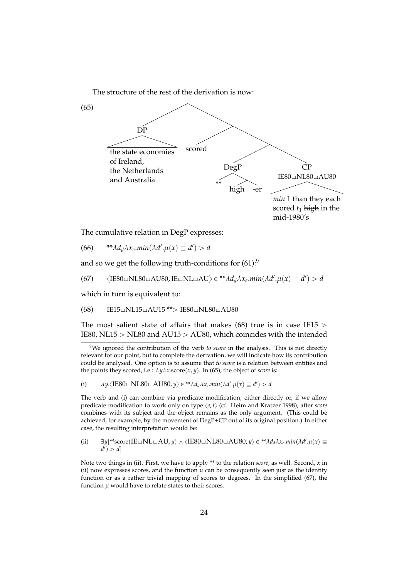The structure of the rest of the derivation is now:



The cumulative relation in DegP expresses:

(66)  $**\lambda d_d\lambda x_e \cdot min(\lambda d' \cdot \mu(x) \sqsubseteq d') > d$ 

and so we get the following truth-conditions for  $(61)$ :<sup>9</sup>

(67)  $\langle$ IE80 $\sqcup$ NL80 $\sqcup$ AU80, IE $\sqcup$ NL $\sqcup$ AU $\rangle \in$ <sup>\*\*</sup> $\lambda d_d \lambda x_e$ .*min*( $\lambda d'.\mu(x) \sqsubseteq d'$ ) > d

which in turn is equivalent to:

 $(68)$  IE15 $\cup$ NL15 $\cup$ AU15 \*\* $>$  IE80 $\cup$ NL80 $\cup$ AU80

The most salient state of affairs that makes (68) true is in case IE15  $>$ IE80, NL15  $>$  NL80 and AU15  $>$  AU80, which coincides with the intended

(i)  $\lambda y. \langle \text{IE80} \sqcup \text{NL80} \sqcup \text{AUS0}, y \rangle \in {^* \lambda} d_d \lambda x_e \min(\lambda d'. \mu(x) \sqsubseteq d') > d$ 

The verb and (i) can combine via predicate modification, either directly or, if we allow predicate modification to work only on type  $\langle e, t \rangle$  (cf. Heim and Kratzer 1998), after *score* combines with its subject and the object remains as the only argument. (This could be achieved, for example, by the movement of DegP+CP out of its original position.) In either case, the resulting interpretation would be:

(ii) 
$$
\exists y[^{**}score(IE \sqcup NL \sqcup AU, y) \land \langle IES0 \sqcup NL80 \sqcup AU80, y \rangle \in ^{**} \lambda d_d \lambda x_e \ldots m \in (\lambda d'.\mu(x) \sqsubseteq d') > d]
$$

Note two things in (ii). First, we have to apply \*\* to the relation *score*, as well. Second, *x* in (ii) now expresses scores, and the function  $\mu$  can be consequently seen just as the identity function or as a rather trivial mapping of scores to degrees. In the simplified (67), the function  $\mu$  would have to relate states to their scores.

<sup>9</sup>We ignored the contribution of the verb *to score* in the analysis. This is not directly relevant for our point, but to complete the derivation, we will indicate how its contribution could be analysed. One option is to assume that *to score* is a relation between entities and the points they scored, i.e.:  $\lambda y \lambda x$ .score(*x*, *y*). In (65), the object of *score* is: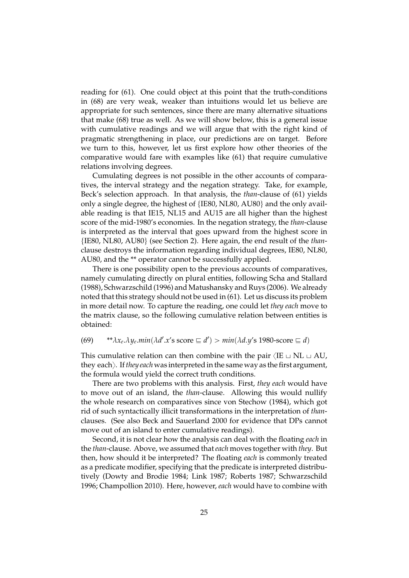reading for (61). One could object at this point that the truth-conditions in (68) are very weak, weaker than intuitions would let us believe are appropriate for such sentences, since there are many alternative situations that make (68) true as well. As we will show below, this is a general issue with cumulative readings and we will argue that with the right kind of pragmatic strengthening in place, our predictions are on target. Before we turn to this, however, let us first explore how other theories of the comparative would fare with examples like (61) that require cumulative relations involving degrees.

Cumulating degrees is not possible in the other accounts of comparatives, the interval strategy and the negation strategy. Take, for example, Beck's selection approach. In that analysis, the *than*-clause of (61) yields only a single degree, the highest of  ${IE80, NLS0, AU80}$  and the only available reading is that IE15, NL15 and AU15 are all higher than the highest score of the mid-1980's economies. In the negation strategy, the *than*-clause is interpreted as the interval that goes upward from the highest score in {IE80, NL80, AU80} (see Section 2). Here again, the end result of the *than*clause destroys the information regarding individual degrees, IE80, NL80, AU80, and the \*\* operator cannot be successfully applied.

There is one possibility open to the previous accounts of comparatives, namely cumulating directly on plural entities, following Scha and Stallard (1988), Schwarzschild (1996) and Matushansky and Ruys (2006). We already noted that this strategy should not be used in (61). Let us discuss its problem in more detail now. To capture the reading, one could let *they each* move to the matrix clause, so the following cumulative relation between entities is obtained:

### $(69)$  \*\* $\lambda x_e \cdot \lambda y_e \cdot min(\lambda d' \cdot x' s \text{ score } \equiv d') > min(\lambda d \cdot y' s \text{ 1980-score } \equiv d)$

This cumulative relation can then combine with the pair  $\langle IE \cup NL \cup AU$ , they each). If *they each* was interpreted in the same way as the first argument, the formula would yield the correct truth conditions.

There are two problems with this analysis. First, *they each* would have to move out of an island, the *than*-clause. Allowing this would nullify the whole research on comparatives since von Stechow (1984), which got rid of such syntactically illicit transformations in the interpretation of *than*clauses. (See also Beck and Sauerland 2000 for evidence that DPs cannot move out of an island to enter cumulative readings).

Second, it is not clear how the analysis can deal with the floating *each* in the *than*-clause. Above, we assumed that*each* moves together with *they*. But then, how should it be interpreted? The floating *each* is commonly treated as a predicate modifier, specifying that the predicate is interpreted distributively (Dowty and Brodie 1984; Link 1987; Roberts 1987; Schwarzschild 1996; Champollion 2010). Here, however, *each* would have to combine with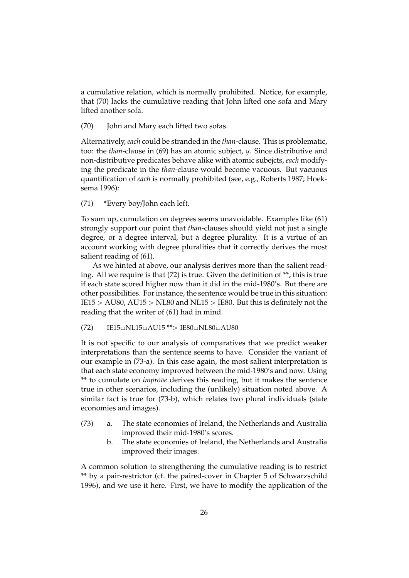a cumulative relation, which is normally prohibited. Notice, for example, that (70) lacks the cumulative reading that John lifted one sofa and Mary lifted another sofa.

(70) John and Mary each lifted two sofas.

Alternatively, *each* could be stranded in the *than*-clause. This is problematic, too: the *than*-clause in (69) has an atomic subject, *y*. Since distributive and non-distributive predicates behave alike with atomic subejcts, *each* modifying the predicate in the *than*-clause would become vacuous. But vacuous quantification of *each* is normally prohibited (see, e.g., Roberts 1987; Hoeksema 1996):

#### (71) \*Every boy/John each left.

To sum up, cumulation on degrees seems unavoidable. Examples like (61) strongly support our point that *than*-clauses should yield not just a single degree, or a degree interval, but a degree plurality. It is a virtue of an account working with degree pluralities that it correctly derives the most salient reading of (61).

As we hinted at above, our analysis derives more than the salient reading. All we require is that (72) is true. Given the definition of \*\*, this is true if each state scored higher now than it did in the mid-1980's. But there are other possibilities. For instance, the sentence would be true in this situation: IE15  $>$  AU80, AU15  $>$  NL80 and NL15  $>$  IE80. But this is definitely not the reading that the writer of (61) had in mind.

 $(72)$  IE15 $\cup$ NL15 $\cup$ AU15 \*\* $>$  IE80 $\cup$ NL80 $\cup$ AU80

It is not specific to our analysis of comparatives that we predict weaker interpretations than the sentence seems to have. Consider the variant of our example in (73-a). In this case again, the most salient interpretation is that each state economy improved between the mid-1980's and now. Using \*\* to cumulate on *improve* derives this reading, but it makes the sentence true in other scenarios, including the (unlikely) situation noted above. A similar fact is true for (73-b), which relates two plural individuals (state economies and images).

- (73) a. The state economies of Ireland, the Netherlands and Australia improved their mid-1980's scores.
	- b. The state economies of Ireland, the Netherlands and Australia improved their images.

A common solution to strengthening the cumulative reading is to restrict \*\* by a pair-restrictor (cf. the paired-cover in Chapter 5 of Schwarzschild 1996), and we use it here. First, we have to modify the application of the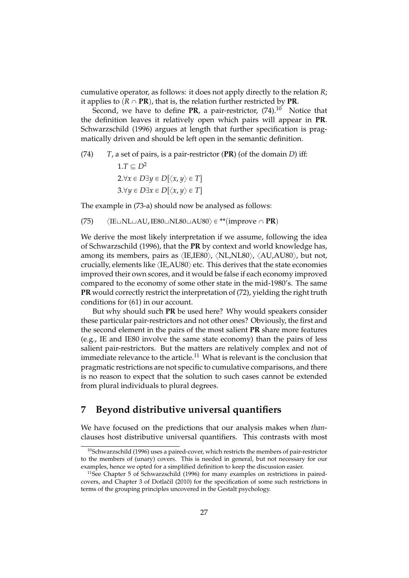cumulative operator, as follows: it does not apply directly to the relation *R*; it applies to  $(R \cap PR)$ , that is, the relation further restricted by **PR**.

Second, we have to define  $PR$ , a pair-restrictor,  $(74)$ .<sup>10</sup> Notice that the definition leaves it relatively open which pairs will appear in **PR**. Schwarzschild (1996) argues at length that further specification is pragmatically driven and should be left open in the semantic definition.

(74) *T*, a set of pairs, is a pair-restrictor (**PR**) (of the domain *D*) iff:  $1.T \subseteq D^2$  $2.\forall x \in D \exists y \in D[\langle x, y \rangle \in T]$  $3.\forall y \in D \exists x \in D[\langle x, y \rangle \in T]$ 

The example in (73-a) should now be analysed as follows:

(75)  $\langle$ IE $\sqcup$ NL $\sqcup$ AU, IE80 $\sqcup$ NL80 $\sqcup$ AU80 $\rangle \in$ \*\*(improve  $\cap$  **PR**)

We derive the most likely interpretation if we assume, following the idea of Schwarzschild (1996), that the **PR** by context and world knowledge has, among its members, pairs as  $\langle$ IE,IE80 $\rangle$ ,  $\langle$ NL,NL80 $\rangle$ ,  $\langle$ AU,AU80 $\rangle$ , but not, crucially, elements like  $\langle$ IE,AU80 $\rangle$  etc. This derives that the state economies improved their own scores, and it would be false if each economy improved compared to the economy of some other state in the mid-1980's. The same **PR** would correctly restrict the interpretation of (72), yielding the right truth conditions for (61) in our account.

But why should such **PR** be used here? Why would speakers consider these particular pair-restrictors and not other ones? Obviously, the first and the second element in the pairs of the most salient **PR** share more features (e.g., IE and IE80 involve the same state economy) than the pairs of less salient pair-restrictors. But the matters are relatively complex and not of immediate relevance to the article.<sup>11</sup> What is relevant is the conclusion that pragmatic restrictions are not specific to cumulative comparisons, and there is no reason to expect that the solution to such cases cannot be extended from plural individuals to plural degrees.

# **7 Beyond distributive universal quantifiers**

We have focused on the predictions that our analysis makes when *than*clauses host distributive universal quantifiers. This contrasts with most

<sup>&</sup>lt;sup>10</sup>Schwarzschild (1996) uses a paired-cover, which restricts the members of pair-restrictor to the members of (unary) covers. This is needed in general, but not necessary for our examples, hence we opted for a simplified definition to keep the discussion easier.

<sup>&</sup>lt;sup>11</sup>See Chapter 5 of Schwarzschild (1996) for many examples on restrictions in pairedcovers, and Chapter 3 of Dotlačil (2010) for the specification of some such restrictions in terms of the grouping principles uncovered in the Gestalt psychology.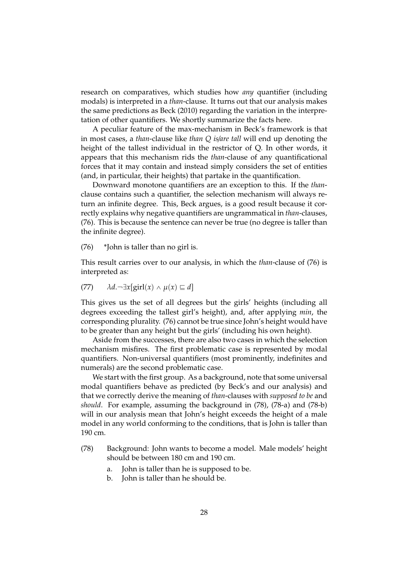research on comparatives, which studies how *any* quantifier (including modals) is interpreted in a *than*-clause. It turns out that our analysis makes the same predictions as Beck (2010) regarding the variation in the interpretation of other quantifiers. We shortly summarize the facts here.

A peculiar feature of the max-mechanism in Beck's framework is that in most cases, a *than*-clause like *than Q is*/*are tall* will end up denoting the height of the tallest individual in the restrictor of Q. In other words, it appears that this mechanism rids the *than*-clause of any quantificational forces that it may contain and instead simply considers the set of entities (and, in particular, their heights) that partake in the quantification.

Downward monotone quantifiers are an exception to this. If the *than*clause contains such a quantifier, the selection mechanism will always return an infinite degree. This, Beck argues, is a good result because it correctly explains why negative quantifiers are ungrammatical in *than*-clauses, (76). This is because the sentence can never be true (no degree is taller than the infinite degree).

 $(76)$  \*John is taller than no girl is.

This result carries over to our analysis, in which the *than*-clause of (76) is interpreted as:

(77) 
$$
\lambda d.\neg \exists x[\text{girl}(x) \land \mu(x) \sqsubseteq d]
$$

This gives us the set of all degrees but the girls' heights (including all degrees exceeding the tallest girl's height), and, after applying *min*, the corresponding plurality. (76) cannot be true since John's height would have to be greater than any height but the girls' (including his own height).

Aside from the successes, there are also two cases in which the selection mechanism misfires. The first problematic case is represented by modal quantifiers. Non-universal quantifiers (most prominently, indefinites and numerals) are the second problematic case.

We start with the first group. As a background, note that some universal modal quantifiers behave as predicted (by Beck's and our analysis) and that we correctly derive the meaning of *than*-clauses with *supposed to be* and *should*. For example, assuming the background in (78), (78-a) and (78-b) will in our analysis mean that John's height exceeds the height of a male model in any world conforming to the conditions, that is John is taller than 190 cm.

- (78) Background: John wants to become a model. Male models' height should be between 180 cm and 190 cm.
	- a. John is taller than he is supposed to be.
	- b. John is taller than he should be.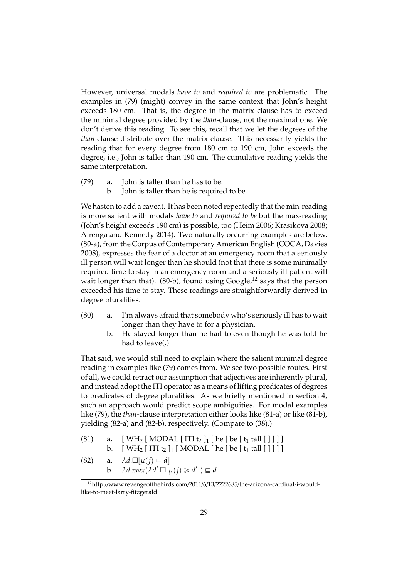However, universal modals *have to* and *required to* are problematic. The examples in (79) (might) convey in the same context that John's height exceeds 180 cm. That is, the degree in the matrix clause has to exceed the minimal degree provided by the *than*-clause, not the maximal one. We don't derive this reading. To see this, recall that we let the degrees of the *than*-clause distribute over the matrix clause. This necessarily yields the reading that for every degree from 180 cm to 190 cm, John exceeds the degree, i.e., John is taller than 190 cm. The cumulative reading yields the same interpretation.

- (79) a. John is taller than he has to be.
	- b. John is taller than he is required to be.

We hasten to add a caveat. It has been noted repeatedly that the min-reading is more salient with modals *have to* and *required to be* but the max-reading (John's height exceeds 190 cm) is possible, too (Heim 2006; Krasikova 2008; Alrenga and Kennedy 2014). Two naturally occurring examples are below. (80-a), from the Corpus of Contemporary American English (COCA, Davies 2008), expresses the fear of a doctor at an emergency room that a seriously ill person will wait longer than he should (not that there is some minimally required time to stay in an emergency room and a seriously ill patient will wait longer than that). (80-b), found using  $Google<sup>12</sup>$  says that the person exceeded his time to stay. These readings are straightforwardly derived in degree pluralities.

- (80) a. I'm always afraid that somebody who's seriously ill has to wait longer than they have to for a physician.
	- b. He stayed longer than he had to even though he was told he had to leave(.)

That said, we would still need to explain where the salient minimal degree reading in examples like (79) comes from. We see two possible routes. First of all, we could retract our assumption that adjectives are inherently plural, and instead adopt the ΠΠ operator as a means of lifting predicates of degrees to predicates of degree pluralities. As we briefly mentioned in section 4, such an approach would predict scope ambiguities. For modal examples like (79), the *than*-clause interpretation either looks like (81-a) or like (81-b), yielding (82-a) and (82-b), respectively. (Compare to (38).)

- (81) a. [ WH<sub>2</sub> [ MODAL  $[\Pi]$ <sub>1</sub> [ he [ be [ t<sub>1</sub> tall ] ] ] ] ] b.  $[WH_2 [TH_2]_1 [MODAL]$  he [be [t<sub>1</sub> tall ] ] ] ]
- (82) a.  $\lambda d.\Box[\mu(j) \sqsubseteq d]$ b.  $\lambda d \cdot max(\lambda d' \cdot \Box[\mu(j) \geq d']) \sqsubseteq d$

<sup>12</sup>http://www.revengeofthebirds.com/2011/6/13/2222685/the-arizona-cardinal-i-wouldlike-to-meet-larry-fitzgerald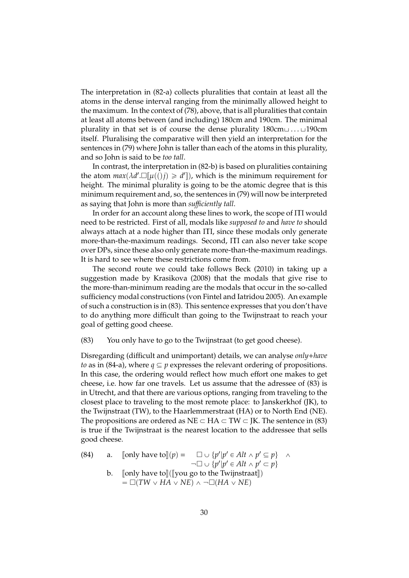The interpretation in (82-a) collects pluralities that contain at least all the atoms in the dense interval ranging from the minimally allowed height to the maximum. In the context of (78), above, that is all pluralities that contain at least all atoms between (and including) 180cm and 190cm. The minimal plurality in that set is of course the dense plurality  $180cm \dots \sqcup 190cm$ itself. Pluralising the comparative will then yield an interpretation for the sentences in (79) where John is taller than each of the atoms in this plurality, and so John is said to be *too tall*.

In contrast, the interpretation in (82-b) is based on pluralities containing the atom  $max(\lambda d' \cdot \Box[\mu((i))] \ge d'])$ , which is the minimum requirement for height. The minimal plurality is going to be the atomic degree that is this minimum requirement and, so, the sentences in (79) will now be interpreted as saying that John is more than *su*ffi*ciently tall*.

In order for an account along these lines to work, the scope of ΠΠ would need to be restricted. First of all, modals like *supposed to* and *have to* should always attach at a node higher than ΠΠ, since these modals only generate more-than-the-maximum readings. Second, ΠΠ can also never take scope over DPs, since these also only generate more-than-the-maximum readings. It is hard to see where these restrictions come from.

The second route we could take follows Beck (2010) in taking up a suggestion made by Krasikova (2008) that the modals that give rise to the more-than-minimum reading are the modals that occur in the so-called sufficiency modal constructions (von Fintel and Iatridou 2005). An example of such a construction is in (83). This sentence expresses that you don't have to do anything more difficult than going to the Twijnstraat to reach your goal of getting good cheese.

#### (83) You only have to go to the Twijnstraat (to get good cheese).

Disregarding (difficult and unimportant) details, we can analyse *only*+*have to* as in (84-a), where  $q \subseteq p$  expresses the relevant ordering of propositions. In this case, the ordering would reflect how much effort one makes to get cheese, i.e. how far one travels. Let us assume that the adressee of (83) is in Utrecht, and that there are various options, ranging from traveling to the closest place to traveling to the most remote place: to Janskerkhof (JK), to the Twijnstraat (TW), to the Haarlemmerstraat (HA) or to North End (NE). The propositions are ordered as  $NE \subset HA \subset TW \subset K$ . The sentence in (83) is true if the Twijnstraat is the nearest location to the addressee that sells good cheese.

(84) a. [only have to]
$$
\begin{array}{lll}\n\text{(84)} & \text{a.} & \text{[only have to]}(p) = & \Box \cup \{p'|p' \in Alt \land p' \subseteq p\} & \land \\
& \neg \Box \cup \{p'|p' \in Alt \land p' \subseteq p\} & \text{b.} & \text{[only have to]}([\text{you go to the Twijnstraat}]) \\
& = \Box(TW \lor HA \lor NE) \land \neg \Box(HA \lor NE)\n\end{array}
$$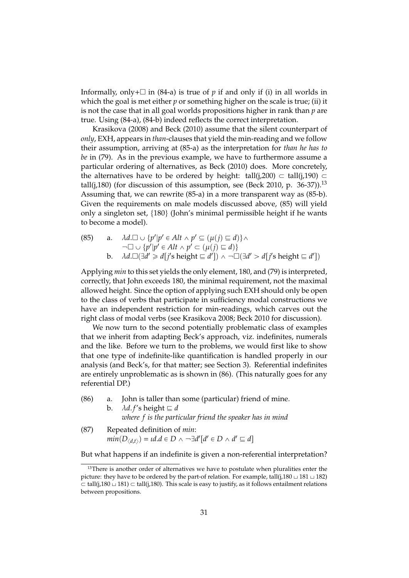Informally, only +  $\Box$  in (84-a) is true of *p* if and only if (i) in all worlds in which the goal is met either *p* or something higher on the scale is true; (ii) it is not the case that in all goal worlds propositions higher in rank than *p* are true. Using (84-a), (84-b) indeed reflects the correct interpretation.

Krasikova (2008) and Beck (2010) assume that the silent counterpart of *only*, EXH, appears in *than*-clauses that yield the min-reading and we follow their assumption, arriving at (85-a) as the interpretation for *than he has to be* in (79). As in the previous example, we have to furthermore assume a particular ordering of alternatives, as Beck (2010) does. More concretely, the alternatives have to be ordered by height: tall(j,200)  $\subset$  tall(j,190)  $\subset$ tall(j,180) (for discussion of this assumption, see (Beck 2010, p.  $36-37$ )).<sup>13</sup> Assuming that, we can rewrite (85-a) in a more transparent way as (85-b). Given the requirements on male models discussed above, (85) will yield only a singleton set,  $\{180\}$  (John's minimal permissible height if he wants to become a model).

(85) a. 
$$
\lambda d.\Box \cup \{p'|p' \in Alt \land p' \subseteq (\mu(j) \sqsubseteq d)\} \land
$$
  
\n $\neg \Box \cup \{p'|p' \in Alt \land p' \subset (\mu(j) \sqsubseteq d)\}$   
\nb.  $\lambda d.\Box(\exists d' \geq d[j' \text{ s height} \sqsubseteq d']) \land \neg \Box(\exists d' > d[j' \text{ s height} \sqsubseteq d'])$ 

Applying *min* to this set yields the only element, 180, and (79) is interpreted, correctly, that John exceeds 180, the minimal requirement, not the maximal allowed height. Since the option of applying such EXH should only be open to the class of verbs that participate in sufficiency modal constructions we have an independent restriction for min-readings, which carves out the right class of modal verbs (see Krasikova 2008; Beck 2010 for discussion).

We now turn to the second potentially problematic class of examples that we inherit from adapting Beck's approach, viz. indefinites, numerals and the like. Before we turn to the problems, we would first like to show that one type of indefinite-like quantification is handled properly in our analysis (and Beck's, for that matter; see Section 3). Referential indefinites are entirely unproblematic as is shown in (86). (This naturally goes for any referential DP.)

(86) a. John is taller than some (particular) friend of mine. b.  $\lambda d.f's$  height  $\equiv d$ 

*where f is the particular friend the speaker has in mind*

(87) Repeated definition of *min*:  
\n
$$
min(D_{\langle d,t \rangle}) = id \, d \in D \land \neg \exists d'[d' \in D \land d' \sqsubseteq d]
$$

But what happens if an indefinite is given a non-referential interpretation?

<sup>&</sup>lt;sup>13</sup>There is another order of alternatives we have to postulate when pluralities enter the picture: they have to be ordered by the part-of relation. For example, tall(j,180  $\sqcup$  181  $\sqcup$  182)  $\subset$  tall(j,180  $\sqcup$  181)  $\subset$  tall(j,180). This scale is easy to justify, as it follows entailment relations between propositions.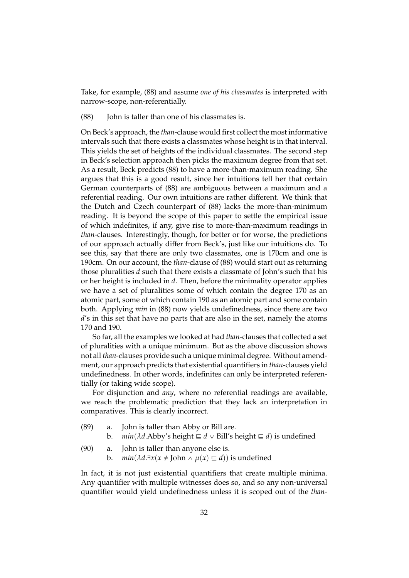Take, for example, (88) and assume *one of his classmates* is interpreted with narrow-scope, non-referentially.

(88) John is taller than one of his classmates is.

On Beck's approach, the *than*-clause would first collect the most informative intervals such that there exists a classmates whose height is in that interval. This yields the set of heights of the individual classmates. The second step in Beck's selection approach then picks the maximum degree from that set. As a result, Beck predicts (88) to have a more-than-maximum reading. She argues that this is a good result, since her intuitions tell her that certain German counterparts of (88) are ambiguous between a maximum and a referential reading. Our own intuitions are rather different. We think that the Dutch and Czech counterpart of (88) lacks the more-than-minimum reading. It is beyond the scope of this paper to settle the empirical issue of which indefinites, if any, give rise to more-than-maximum readings in *than*-clauses. Interestingly, though, for better or for worse, the predictions of our approach actually differ from Beck's, just like our intuitions do. To see this, say that there are only two classmates, one is 170cm and one is 190cm. On our account, the *than*-clause of (88) would start out as returning those pluralities *d* such that there exists a classmate of John's such that his or her height is included in *d*. Then, before the minimality operator applies we have a set of pluralities some of which contain the degree 170 as an atomic part, some of which contain 190 as an atomic part and some contain both. Applying *min* in (88) now yields undefinedness, since there are two *d*'s in this set that have no parts that are also in the set, namely the atoms 170 and 190.

So far, all the examples we looked at had *than*-clauses that collected a set of pluralities with a unique minimum. But as the above discussion shows not all *than*-clauses provide such a unique minimal degree. Without amendment, our approach predicts that existential quantifiers in *than*-clauses yield undefinedness. In other words, indefinites can only be interpreted referentially (or taking wide scope).

For disjunction and *any*, where no referential readings are available, we reach the problematic prediction that they lack an interpretation in comparatives. This is clearly incorrect.

- (89) a. John is taller than Abby or Bill are.
	- *b. min*( $\lambda d$ .Abby's height  $\subseteq d \vee$  Bill's height  $\subseteq d$ ) is undefined
- (90) a. John is taller than anyone else is.
	- b. *min*( $\lambda d.\exists x(x \neq \text{John} \land \mu(x) \sqsubseteq d)$ ) is undefined

In fact, it is not just existential quantifiers that create multiple minima. Any quantifier with multiple witnesses does so, and so any non-universal quantifier would yield undefinedness unless it is scoped out of the *than*-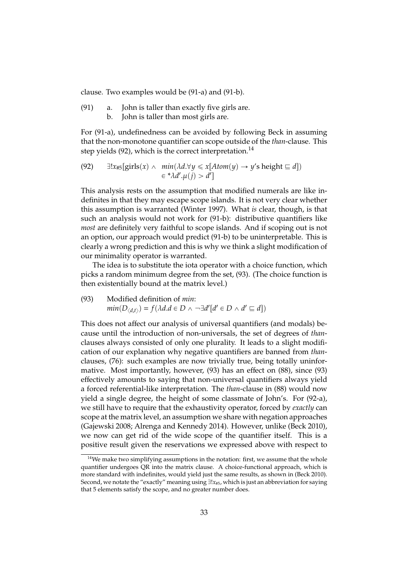clause. Two examples would be (91-a) and (91-b).

(91) a. John is taller than exactly five girls are. b. John is taller than most girls are.

For (91-a), undefinedness can be avoided by following Beck in assuming that the non-monotone quantifier can scope outside of the *than*-clause. This step yields  $(92)$ , which is the correct interpretation.<sup>14</sup>

(92) 
$$
\exists!x_{\#5}[\text{girls}(x) \land \min(\lambda d.\forall y \le x[Atom(y) \rightarrow y's height \sqsubseteq d])
$$
  
 $\in {}^*\lambda d'.\mu(j) > d']$ 

This analysis rests on the assumption that modified numerals are like indefinites in that they may escape scope islands. It is not very clear whether this assumption is warranted (Winter 1997). What *is* clear, though, is that such an analysis would not work for (91-b): distributive quantifiers like *most* are definitely very faithful to scope islands. And if scoping out is not an option, our approach would predict (91-b) to be uninterpretable. This is clearly a wrong prediction and this is why we think a slight modification of our minimality operator is warranted.

The idea is to substitute the iota operator with a choice function, which picks a random minimum degree from the set, (93). (The choice function is then existentially bound at the matrix level.)

(93) Modified definition of *min*:  $min(D_{\langle d,t \rangle}) = f(\lambda d.d \in D \land \neg \exists d'[d' \in D \land d' \sqsubseteq d])$ 

This does not affect our analysis of universal quantifiers (and modals) because until the introduction of non-universals, the set of degrees of *than*clauses always consisted of only one plurality. It leads to a slight modification of our explanation why negative quantifiers are banned from *than*clauses, (76): such examples are now trivially true, being totally uninformative. Most importantly, however, (93) has an effect on (88), since (93) effectively amounts to saying that non-universal quantifiers always yield a forced referential-like interpretation. The *than*-clause in (88) would now yield a single degree, the height of some classmate of John's. For (92-a), we still have to require that the exhaustivity operator, forced by *exactly* can scope at the matrix level, an assumption we share with negation approaches (Gajewski 2008; Alrenga and Kennedy 2014). However, unlike (Beck 2010), we now can get rid of the wide scope of the quantifier itself. This is a positive result given the reservations we expressed above with respect to

 $14$ We make two simplifying assumptions in the notation: first, we assume that the whole quantifier undergoes QR into the matrix clause. A choice-functional approach, which is more standard with indefinites, would yield just the same results, as shown in (Beck 2010). Second, we notate the "exactly" meaning using  $\exists ! x_{#5}$ , which is just an abbreviation for saying that 5 elements satisfy the scope, and no greater number does.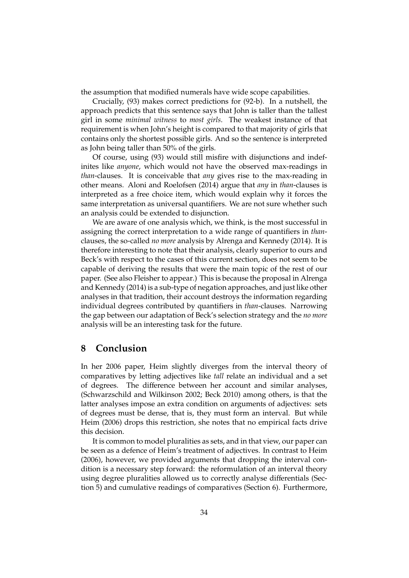the assumption that modified numerals have wide scope capabilities.

Crucially, (93) makes correct predictions for (92-b). In a nutshell, the approach predicts that this sentence says that John is taller than the tallest girl in some *minimal witness* to *most girls*. The weakest instance of that requirement is when John's height is compared to that majority of girls that contains only the shortest possible girls. And so the sentence is interpreted as John being taller than 50% of the girls.

Of course, using (93) would still misfire with disjunctions and indefinites like *anyone*, which would not have the observed max-readings in *than*-clauses. It is conceivable that *any* gives rise to the max-reading in other means. Aloni and Roelofsen (2014) argue that *any* in *than*-clauses is interpreted as a free choice item, which would explain why it forces the same interpretation as universal quantifiers. We are not sure whether such an analysis could be extended to disjunction.

We are aware of one analysis which, we think, is the most successful in assigning the correct interpretation to a wide range of quantifiers in *than*clauses, the so-called *no more* analysis by Alrenga and Kennedy (2014). It is therefore interesting to note that their analysis, clearly superior to ours and Beck's with respect to the cases of this current section, does not seem to be capable of deriving the results that were the main topic of the rest of our paper. (See also Fleisher to appear.) This is because the proposal in Alrenga and Kennedy (2014) is a sub-type of negation approaches, and just like other analyses in that tradition, their account destroys the information regarding individual degrees contributed by quantifiers in *than*-clauses. Narrowing the gap between our adaptation of Beck's selection strategy and the *no more* analysis will be an interesting task for the future.

### **8 Conclusion**

In her 2006 paper, Heim slightly diverges from the interval theory of comparatives by letting adjectives like *tall* relate an individual and a set of degrees. The difference between her account and similar analyses, (Schwarzschild and Wilkinson 2002; Beck 2010) among others, is that the latter analyses impose an extra condition on arguments of adjectives: sets of degrees must be dense, that is, they must form an interval. But while Heim (2006) drops this restriction, she notes that no empirical facts drive this decision.

It is common to model pluralities as sets, and in that view, our paper can be seen as a defence of Heim's treatment of adjectives. In contrast to Heim (2006), however, we provided arguments that dropping the interval condition is a necessary step forward: the reformulation of an interval theory using degree pluralities allowed us to correctly analyse differentials (Section 5) and cumulative readings of comparatives (Section 6). Furthermore,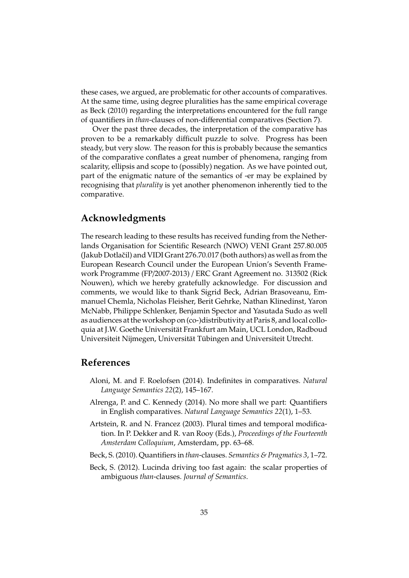these cases, we argued, are problematic for other accounts of comparatives. At the same time, using degree pluralities has the same empirical coverage as Beck (2010) regarding the interpretations encountered for the full range of quantifiers in *than*-clauses of non-differential comparatives (Section 7).

Over the past three decades, the interpretation of the comparative has proven to be a remarkably difficult puzzle to solve. Progress has been steady, but very slow. The reason for this is probably because the semantics of the comparative conflates a great number of phenomena, ranging from scalarity, ellipsis and scope to (possibly) negation. As we have pointed out, part of the enigmatic nature of the semantics of -er may be explained by recognising that *plurality* is yet another phenomenon inherently tied to the comparative.

# **Acknowledgments**

The research leading to these results has received funding from the Netherlands Organisation for Scientific Research (NWO) VENI Grant 257.80.005 (Jakub Dotlačil) and VIDI Grant  $276.70.017$  (both authors) as well as from the European Research Council under the European Union's Seventh Framework Programme (FP/2007-2013) / ERC Grant Agreement no. 313502 (Rick Nouwen), which we hereby gratefully acknowledge. For discussion and comments, we would like to thank Sigrid Beck, Adrian Brasoveanu, Emmanuel Chemla, Nicholas Fleisher, Berit Gehrke, Nathan Klinedinst, Yaron McNabb, Philippe Schlenker, Benjamin Spector and Yasutada Sudo as well as audiences at the workshop on (co-)distributivity at Paris 8, and local colloquia at J.W. Goethe Universitat Frankfurt am Main, UCL London, Radboud ¨ Universiteit Nijmegen, Universität Tübingen and Universiteit Utrecht.

### **References**

- Aloni, M. and F. Roelofsen (2014). Indefinites in comparatives. *Natural Language Semantics 22*(2), 145–167.
- Alrenga, P. and C. Kennedy (2014). No more shall we part: Quantifiers in English comparatives. *Natural Language Semantics 22*(1), 1–53.
- Artstein, R. and N. Francez (2003). Plural times and temporal modification. In P. Dekker and R. van Rooy (Eds.), *Proceedings of the Fourteenth Amsterdam Colloquium*, Amsterdam, pp. 63–68.
- Beck, S. (2010). Quantifiers in *than*-clauses. *Semantics & Pragmatics 3*, 1–72.
- Beck, S. (2012). Lucinda driving too fast again: the scalar properties of ambiguous *than*-clauses. *Journal of Semantics*.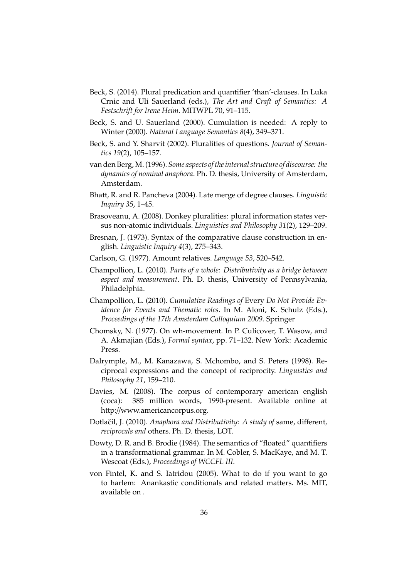- Beck, S. (2014). Plural predication and quantifier 'than'-clauses. In Luka Crnic and Uli Sauerland (eds.), *The Art and Craft of Semantics: A Festschrift for Irene Heim*. MITWPL 70, 91–115.
- Beck, S. and U. Sauerland (2000). Cumulation is needed: A reply to Winter (2000). *Natural Language Semantics 8*(4), 349–371.
- Beck, S. and Y. Sharvit (2002). Pluralities of questions. *Journal of Semantics 19*(2), 105–157.
- van den Berg, M. (1996). *Some aspects of the internal structure of discourse: the dynamics of nominal anaphora*. Ph. D. thesis, University of Amsterdam, Amsterdam.
- Bhatt, R. and R. Pancheva (2004). Late merge of degree clauses. *Linguistic Inquiry 35*, 1–45.
- Brasoveanu, A. (2008). Donkey pluralities: plural information states versus non-atomic individuals. *Linguistics and Philosophy 31*(2), 129–209.
- Bresnan, J. (1973). Syntax of the comparative clause construction in english. *Linguistic Inquiry 4*(3), 275–343.
- Carlson, G. (1977). Amount relatives. *Language 53*, 520–542.
- Champollion, L. (2010). *Parts of a whole: Distributivity as a bridge between aspect and measurement*. Ph. D. thesis, University of Pennsylvania, Philadelphia.
- Champollion, L. (2010). *Cumulative Readings of* Every *Do Not Provide Evidence for Events and Thematic roles*. In M. Aloni, K. Schulz (Eds.), *Proceedings of the 17th Amsterdam Colloquium 2009*. Springer
- Chomsky, N. (1977). On wh-movement. In P. Culicover, T. Wasow, and A. Akmajian (Eds.), *Formal syntax*, pp. 71–132. New York: Academic Press.
- Dalrymple, M., M. Kanazawa, S. Mchombo, and S. Peters (1998). Reciprocal expressions and the concept of reciprocity. *Linguistics and Philosophy 21*, 159–210.
- Davies, M. (2008). The corpus of contemporary american english (coca): 385 million words, 1990-present. Available online at http://www.americancorpus.org.
- Dotlačil, J. (2010). Anaphora and Distributivity: A study of same, different, *reciprocals and* others. Ph. D. thesis, LOT.
- Dowty, D. R. and B. Brodie (1984). The semantics of "floated" quantifiers in a transformational grammar. In M. Cobler, S. MacKaye, and M. T. Wescoat (Eds.), *Proceedings of WCCFL III*.
- von Fintel, K. and S. Iatridou (2005). What to do if you want to go to harlem: Anankastic conditionals and related matters. Ms. MIT, available on .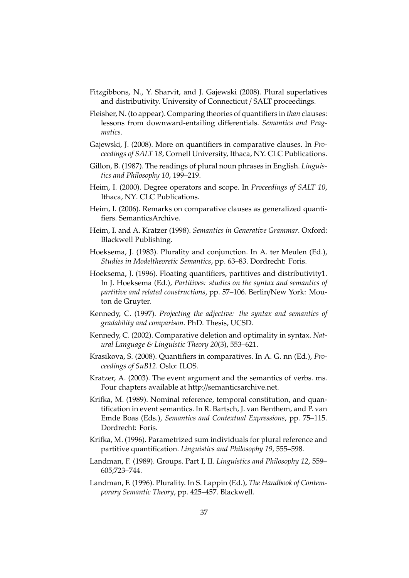- Fitzgibbons, N., Y. Sharvit, and J. Gajewski (2008). Plural superlatives and distributivity. University of Connecticut / SALT proceedings.
- Fleisher, N. (to appear). Comparing theories of quantifiers in *than* clauses: lessons from downward-entailing differentials. *Semantics and Pragmatics*.
- Gajewski, J. (2008). More on quantifiers in comparative clauses. In *Proceedings of SALT 18*, Cornell University, Ithaca, NY. CLC Publications.
- Gillon, B. (1987). The readings of plural noun phrases in English. *Linguistics and Philosophy 10*, 199–219.
- Heim, I. (2000). Degree operators and scope. In *Proceedings of SALT 10*, Ithaca, NY. CLC Publications.
- Heim, I. (2006). Remarks on comparative clauses as generalized quantifiers. SemanticsArchive.
- Heim, I. and A. Kratzer (1998). *Semantics in Generative Grammar*. Oxford: Blackwell Publishing.
- Hoeksema, J. (1983). Plurality and conjunction. In A. ter Meulen (Ed.), *Studies in Modeltheoretic Semantics*, pp. 63–83. Dordrecht: Foris.
- Hoeksema, J. (1996). Floating quantifiers, partitives and distributivity1. In J. Hoeksema (Ed.), *Partitives: studies on the syntax and semantics of partitive and related constructions*, pp. 57–106. Berlin/New York: Mouton de Gruyter.
- Kennedy, C. (1997). *Projecting the adjective: the syntax and semantics of gradability and comparison*. PhD. Thesis, UCSD.
- Kennedy, C. (2002). Comparative deletion and optimality in syntax. *Natural Language & Linguistic Theory 20*(3), 553–621.
- Krasikova, S. (2008). Quantifiers in comparatives. In A. G. nn (Ed.), *Proceedings of SuB12*. Oslo: ILOS.
- Kratzer, A. (2003). The event argument and the semantics of verbs. ms. Four chapters available at http://semanticsarchive.net.
- Krifka, M. (1989). Nominal reference, temporal constitution, and quantification in event semantics. In R. Bartsch, J. van Benthem, and P. van Emde Boas (Eds.), *Semantics and Contextual Expressions*, pp. 75–115. Dordrecht: Foris.
- Krifka, M. (1996). Parametrized sum individuals for plural reference and partitive quantification. *Linguistics and Philosophy 19*, 555–598.
- Landman, F. (1989). Groups. Part I, II. *Linguistics and Philosophy 12*, 559– 605;723–744.
- Landman, F. (1996). Plurality. In S. Lappin (Ed.), *The Handbook of Contemporary Semantic Theory*, pp. 425–457. Blackwell.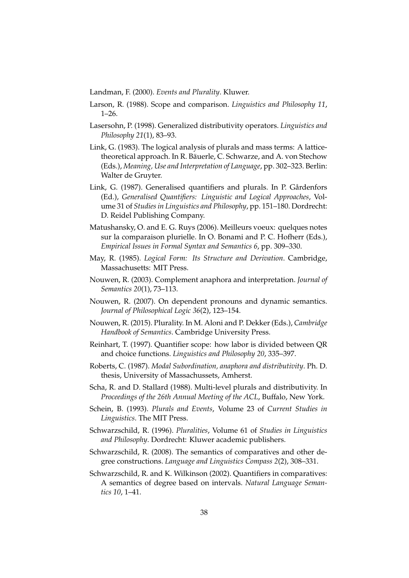Landman, F. (2000). *Events and Plurality*. Kluwer.

- Larson, R. (1988). Scope and comparison. *Linguistics and Philosophy 11*, 1–26.
- Lasersohn, P. (1998). Generalized distributivity operators. *Linguistics and Philosophy 21*(1), 83–93.
- Link, G. (1983). The logical analysis of plurals and mass terms: A latticetheoretical approach. In R. Bäuerle, C. Schwarze, and A. von Stechow (Eds.), *Meaning, Use and Interpretation of Language*, pp. 302–323. Berlin: Walter de Gruyter.
- Link, G. (1987). Generalised quantifiers and plurals. In P. Gårdenfors (Ed.), *Generalised Quantifiers: Linguistic and Logical Approaches*, Volume 31 of *Studies in Linguistics and Philosophy*, pp. 151–180. Dordrecht: D. Reidel Publishing Company.
- Matushansky, O. and E. G. Ruys (2006). Meilleurs voeux: quelques notes sur la comparaison plurielle. In O. Bonami and P. C. Hofherr (Eds.), *Empirical Issues in Formal Syntax and Semantics 6*, pp. 309–330.
- May, R. (1985). *Logical Form: Its Structure and Derivation*. Cambridge, Massachusetts: MIT Press.
- Nouwen, R. (2003). Complement anaphora and interpretation. *Journal of Semantics 20*(1), 73–113.
- Nouwen, R. (2007). On dependent pronouns and dynamic semantics. *Journal of Philosophical Logic 36*(2), 123–154.
- Nouwen, R. (2015). Plurality. In M. Aloni and P. Dekker (Eds.), *Cambridge Handbook of Semantics*. Cambridge University Press.
- Reinhart, T. (1997). Quantifier scope: how labor is divided between QR and choice functions. *Linguistics and Philosophy 20*, 335–397.
- Roberts, C. (1987). *Modal Subordination, anaphora and distributivity*. Ph. D. thesis, University of Massachussets, Amherst.
- Scha, R. and D. Stallard (1988). Multi-level plurals and distributivity. In *Proceedings of the 26th Annual Meeting of the ACL*, Buffalo, New York.
- Schein, B. (1993). *Plurals and Events*, Volume 23 of *Current Studies in Linguistics*. The MIT Press.
- Schwarzschild, R. (1996). *Pluralities*, Volume 61 of *Studies in Linguistics and Philosophy*. Dordrecht: Kluwer academic publishers.
- Schwarzschild, R. (2008). The semantics of comparatives and other degree constructions. *Language and Linguistics Compass 2*(2), 308–331.
- Schwarzschild, R. and K. Wilkinson (2002). Quantifiers in comparatives: A semantics of degree based on intervals. *Natural Language Semantics 10*, 1–41.